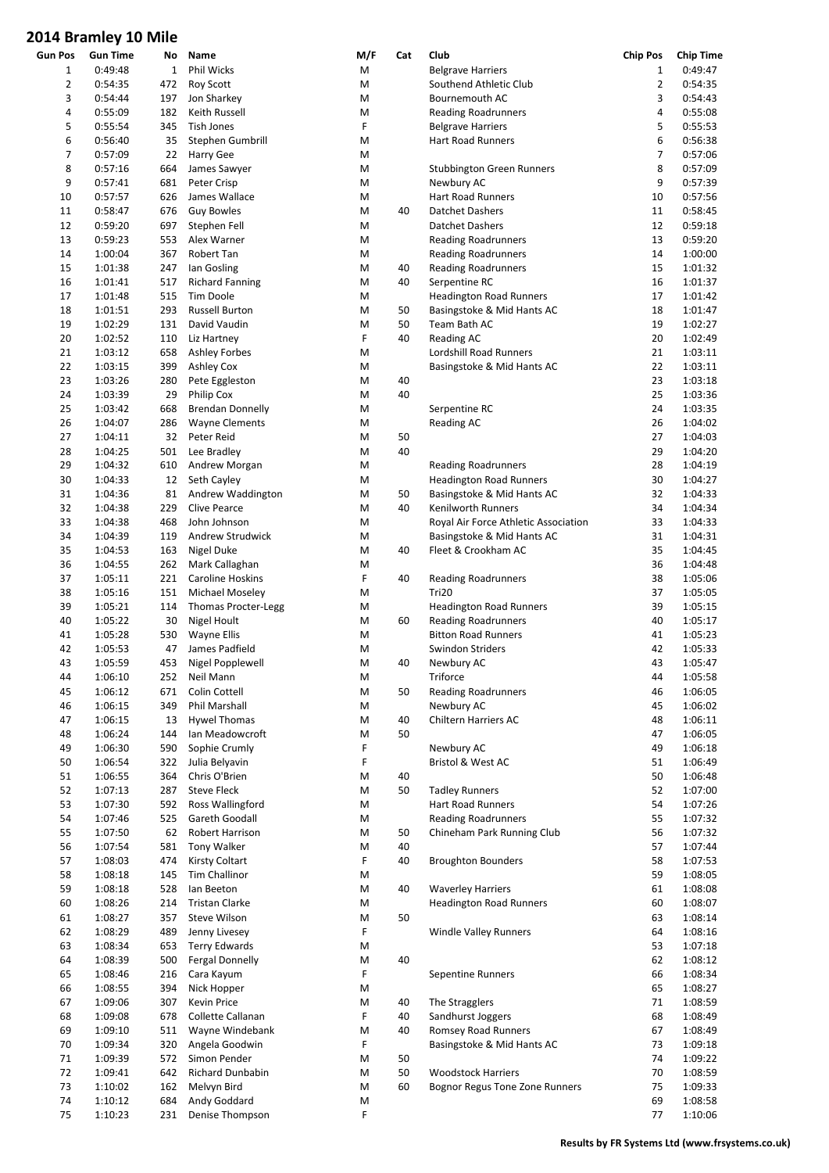| Gun Pos        | <b>Gun Time</b> | No           | Name                       | M/F | Cat | Club                                 | <b>Chip Pos</b> | <b>Chip Time</b> |
|----------------|-----------------|--------------|----------------------------|-----|-----|--------------------------------------|-----------------|------------------|
| $\mathbf{1}$   | 0:49:48         | $\mathbf{1}$ | Phil Wicks                 | M   |     | <b>Belgrave Harriers</b>             | 1               | 0:49:47          |
| $\overline{2}$ | 0:54:35         | 472          | <b>Roy Scott</b>           | M   |     | Southend Athletic Club               | $\overline{2}$  | 0:54:35          |
| 3              | 0:54:44         | 197          | Jon Sharkey                | M   |     | Bournemouth AC                       | 3               | 0:54:43          |
| 4              | 0:55:09         | 182          | Keith Russell              | M   |     | <b>Reading Roadrunners</b>           | 4               | 0:55:08          |
| 5              | 0:55:54         | 345          | Tish Jones                 | F   |     | <b>Belgrave Harriers</b>             | 5               | 0:55:53          |
|                |                 |              |                            |     |     |                                      |                 |                  |
| 6              | 0:56:40         | 35           | Stephen Gumbrill           | M   |     | <b>Hart Road Runners</b>             | 6               | 0:56:38          |
| 7              | 0:57:09         | 22           | Harry Gee                  | M   |     |                                      | 7               | 0:57:06          |
| 8              | 0:57:16         | 664          | James Sawyer               | M   |     | <b>Stubbington Green Runners</b>     | 8               | 0:57:09          |
| 9              | 0:57:41         | 681          | Peter Crisp                | M   |     | Newbury AC                           | 9               | 0:57:39          |
| 10             | 0:57:57         | 626          | James Wallace              | M   |     | <b>Hart Road Runners</b>             | 10              | 0:57:56          |
| 11             | 0:58:47         | 676          | <b>Guy Bowles</b>          | M   | 40  | Datchet Dashers                      | 11              | 0:58:45          |
|                |                 |              |                            |     |     |                                      |                 |                  |
| 12             | 0:59:20         | 697          | Stephen Fell               | M   |     | <b>Datchet Dashers</b>               | 12              | 0:59:18          |
| 13             | 0:59:23         | 553          | Alex Warner                | M   |     | <b>Reading Roadrunners</b>           | 13              | 0:59:20          |
| 14             | 1:00:04         | 367          | Robert Tan                 | M   |     | <b>Reading Roadrunners</b>           | 14              | 1:00:00          |
| 15             | 1:01:38         | 247          | Ian Gosling                | M   | 40  | <b>Reading Roadrunners</b>           | 15              | 1:01:32          |
| 16             | 1:01:41         | 517          | <b>Richard Fanning</b>     | M   | 40  | Serpentine RC                        | 16              | 1:01:37          |
| 17             | 1:01:48         | 515          | Tim Doole                  | M   |     | <b>Headington Road Runners</b>       | 17              | 1:01:42          |
|                |                 |              |                            |     |     |                                      | 18              |                  |
| 18             | 1:01:51         | 293          | <b>Russell Burton</b>      | M   | 50  | Basingstoke & Mid Hants AC           |                 | 1:01:47          |
| 19             | 1:02:29         | 131          | David Vaudin               | M   | 50  | Team Bath AC                         | 19              | 1:02:27          |
| 20             | 1:02:52         | 110          | Liz Hartney                | F   | 40  | <b>Reading AC</b>                    | 20              | 1:02:49          |
| 21             | 1:03:12         | 658          | <b>Ashley Forbes</b>       | M   |     | Lordshill Road Runners               | 21              | 1:03:11          |
| 22             | 1:03:15         | 399          | <b>Ashley Cox</b>          | M   |     | Basingstoke & Mid Hants AC           | 22              | 1:03:11          |
| 23             | 1:03:26         | 280          | Pete Eggleston             | M   | 40  |                                      | 23              | 1:03:18          |
|                |                 |              |                            |     |     |                                      |                 |                  |
| 24             | 1:03:39         | 29           | Philip Cox                 | M   | 40  |                                      | 25              | 1:03:36          |
| 25             | 1:03:42         | 668          | <b>Brendan Donnelly</b>    | M   |     | Serpentine RC                        | 24              | 1:03:35          |
| 26             | 1:04:07         | 286          | <b>Wayne Clements</b>      | M   |     | <b>Reading AC</b>                    | 26              | 1:04:02          |
| 27             | 1:04:11         | 32           | Peter Reid                 | M   | 50  |                                      | 27              | 1:04:03          |
| 28             | 1:04:25         | 501          | Lee Bradley                | M   | 40  |                                      | 29              | 1:04:20          |
| 29             | 1:04:32         | 610          | Andrew Morgan              | M   |     | <b>Reading Roadrunners</b>           | 28              | 1:04:19          |
|                |                 |              |                            |     |     |                                      |                 |                  |
| 30             | 1:04:33         | 12           | Seth Cayley                | M   |     | <b>Headington Road Runners</b>       | 30              | 1:04:27          |
| 31             | 1:04:36         | 81           | Andrew Waddington          | M   | 50  | Basingstoke & Mid Hants AC           | 32              | 1:04:33          |
| 32             | 1:04:38         | 229          | <b>Clive Pearce</b>        | M   | 40  | Kenilworth Runners                   | 34              | 1:04:34          |
| 33             | 1:04:38         | 468          | John Johnson               | M   |     | Royal Air Force Athletic Association | 33              | 1:04:33          |
| 34             | 1:04:39         | 119          | Andrew Strudwick           | M   |     | Basingstoke & Mid Hants AC           | 31              | 1:04:31          |
|                |                 |              |                            |     |     |                                      | 35              | 1:04:45          |
| 35             | 1:04:53         | 163          | Nigel Duke                 | M   | 40  | Fleet & Crookham AC                  |                 |                  |
| 36             | 1:04:55         | 262          | Mark Callaghan             | M   |     |                                      | 36              | 1:04:48          |
| 37             | 1:05:11         | 221          | <b>Caroline Hoskins</b>    | F   | 40  | <b>Reading Roadrunners</b>           | 38              | 1:05:06          |
| 38             | 1:05:16         | 151          | Michael Moseley            | M   |     | Tri20                                | 37              | 1:05:05          |
| 39             | 1:05:21         | 114          | <b>Thomas Procter-Legg</b> | M   |     | <b>Headington Road Runners</b>       | 39              | 1:05:15          |
| 40             | 1:05:22         | 30           | Nigel Hoult                | M   | 60  | <b>Reading Roadrunners</b>           | 40              | 1:05:17          |
|                | 1:05:28         |              |                            |     |     |                                      | 41              |                  |
| 41             |                 | 530          | Wayne Ellis                | M   |     | <b>Bitton Road Runners</b>           |                 | 1:05:23          |
| 42             | 1:05:53         | 47           | James Padfield             | M   |     | Swindon Striders                     | 42              | 1:05:33          |
| 43             | 1:05:59         | 453          | Nigel Popplewell           | M   | 40  | Newbury AC                           | 43              | 1:05:47          |
| 44             | 1:06:10         |              | 252 Neil Mann              | M   |     | Triforce                             | 44              | 1:05:58          |
| 45             | 1:06:12         | 671          | Colin Cottell              | M   | 50  | <b>Reading Roadrunners</b>           | 46              | 1:06:05          |
| 46             | 1:06:15         | 349          | Phil Marshall              | M   |     | Newbury AC                           | 45              | 1:06:02          |
|                | 1:06:15         |              |                            |     |     |                                      | 48              |                  |
| 47             |                 | 13           | <b>Hywel Thomas</b>        | M   | 40  | Chiltern Harriers AC                 |                 | 1:06:11          |
| 48             | 1:06:24         | 144          | Ian Meadowcroft            | M   | 50  |                                      | 47              | 1:06:05          |
| 49             | 1:06:30         | 590          | Sophie Crumly              | F   |     | Newbury AC                           | 49              | 1:06:18          |
| 50             | 1:06:54         | 322          | Julia Belyavin             | F   |     | Bristol & West AC                    | 51              | 1:06:49          |
| 51             | 1:06:55         | 364          | Chris O'Brien              | M   | 40  |                                      | 50              | 1:06:48          |
| 52             | 1:07:13         | 287          | Steve Fleck                | M   | 50  | <b>Tadley Runners</b>                | 52              | 1:07:00          |
|                |                 |              |                            |     |     | Hart Road Runners                    |                 |                  |
| 53             | 1:07:30         | 592          | Ross Wallingford           | M   |     |                                      | 54              | 1:07:26          |
| 54             | 1:07:46         | 525          | Gareth Goodall             | M   |     | <b>Reading Roadrunners</b>           | 55              | 1:07:32          |
| 55             | 1:07:50         | 62           | Robert Harrison            | M   | 50  | Chineham Park Running Club           | 56              | 1:07:32          |
| 56             | 1:07:54         | 581          | Tony Walker                | M   | 40  |                                      | 57              | 1:07:44          |
| 57             | 1:08:03         | 474          | <b>Kirsty Coltart</b>      | F   | 40  | <b>Broughton Bounders</b>            | 58              | 1:07:53          |
| 58             | 1:08:18         | 145          | Tim Challinor              | M   |     |                                      | 59              | 1:08:05          |
|                |                 |              |                            |     |     |                                      |                 |                  |
| 59             | 1:08:18         | 528          | lan Beeton                 | M   | 40  | <b>Waverley Harriers</b>             | 61              | 1:08:08          |
| 60             | 1:08:26         | 214          | <b>Tristan Clarke</b>      | M   |     | <b>Headington Road Runners</b>       | 60              | 1:08:07          |
| 61             | 1:08:27         | 357          | Steve Wilson               | M   | 50  |                                      | 63              | 1:08:14          |
| 62             | 1:08:29         | 489          | Jenny Livesey              | F   |     | <b>Windle Valley Runners</b>         | 64              | 1:08:16          |
| 63             | 1:08:34         | 653          | <b>Terry Edwards</b>       | М   |     |                                      | 53              | 1:07:18          |
| 64             | 1:08:39         | 500          | <b>Fergal Donnelly</b>     | M   | 40  |                                      | 62              | 1:08:12          |
|                |                 |              |                            |     |     |                                      |                 |                  |
| 65             | 1:08:46         | 216          | Cara Kayum                 | F   |     | Sepentine Runners                    | 66              | 1:08:34          |
| 66             | 1:08:55         | 394          | Nick Hopper                | M   |     |                                      | 65              | 1:08:27          |
| 67             | 1:09:06         | 307          | Kevin Price                | M   | 40  | The Stragglers                       | 71              | 1:08:59          |
| 68             | 1:09:08         | 678          | Collette Callanan          | F   | 40  | Sandhurst Joggers                    | 68              | 1:08:49          |
| 69             | 1:09:10         | 511          | Wayne Windebank            | M   | 40  | Romsey Road Runners                  | 67              | 1:08:49          |
| 70             | 1:09:34         | 320          | Angela Goodwin             | F   |     | Basingstoke & Mid Hants AC           | 73              | 1:09:18          |
|                |                 |              |                            |     |     |                                      |                 |                  |
| 71             | 1:09:39         | 572          | Simon Pender               | M   | 50  |                                      | 74              | 1:09:22          |
| 72             | 1:09:41         | 642          | Richard Dunbabin           | M   | 50  | <b>Woodstock Harriers</b>            | 70              | 1:08:59          |
| 73             | 1:10:02         | 162          | Melvyn Bird                | M   | 60  | Bognor Regus Tone Zone Runners       | 75              | 1:09:33          |
| 74             | 1:10:12         | 684          | Andy Goddard               | M   |     |                                      | 69              | 1:08:58          |
| 75             | 1:10:23         | 231          | Denise Thompson            | F   |     |                                      | 77              | 1:10:06          |
|                |                 |              |                            |     |     |                                      |                 |                  |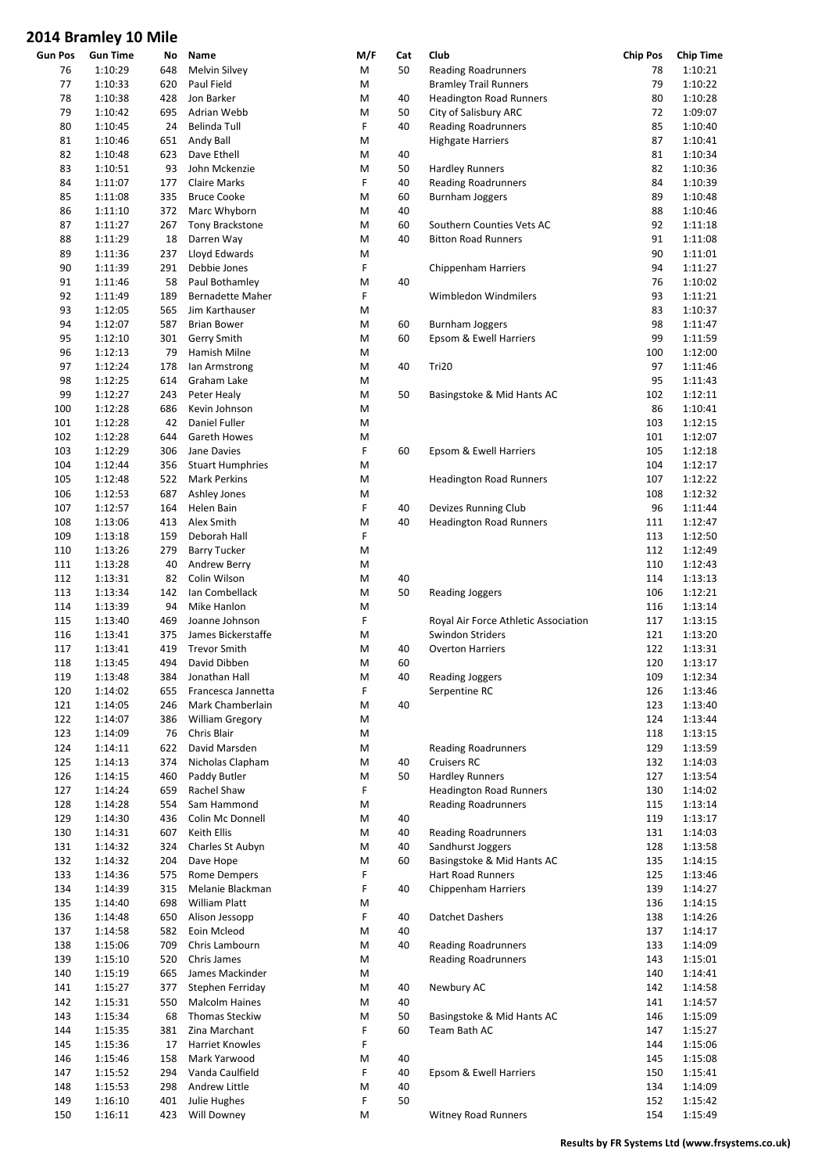| Gun Pos | <b>Gun Time</b> | No  | Name                    | M/F                                                                                                        | Cat | Club                                 | <b>Chip Pos</b> | <b>Chip Time</b> |
|---------|-----------------|-----|-------------------------|------------------------------------------------------------------------------------------------------------|-----|--------------------------------------|-----------------|------------------|
| 76      | 1:10:29         | 648 | Melvin Silvey           | M                                                                                                          | 50  | <b>Reading Roadrunners</b>           | 78              | 1:10:21          |
| 77      | 1:10:33         | 620 | Paul Field              | M                                                                                                          |     | <b>Bramley Trail Runners</b>         | 79              | 1:10:22          |
|         |                 |     | Jon Barker              |                                                                                                            |     |                                      |                 |                  |
| 78      | 1:10:38         | 428 |                         | M                                                                                                          | 40  | <b>Headington Road Runners</b>       | 80              | 1:10:28          |
| 79      | 1:10:42         | 695 | Adrian Webb             | M                                                                                                          | 50  | City of Salisbury ARC                | 72              | 1:09:07          |
| 80      | 1:10:45         | 24  | Belinda Tull            | F                                                                                                          | 40  | <b>Reading Roadrunners</b>           | 85              | 1:10:40          |
| 81      | 1:10:46         | 651 | Andy Ball               | M                                                                                                          |     | <b>Highgate Harriers</b>             | 87              | 1:10:41          |
| 82      | 1:10:48         | 623 | Dave Ethell             | M                                                                                                          | 40  |                                      | 81              | 1:10:34          |
|         |                 |     |                         |                                                                                                            |     |                                      |                 |                  |
| 83      | 1:10:51         | 93  | John Mckenzie           | M                                                                                                          | 50  | <b>Hardley Runners</b>               | 82              | 1:10:36          |
| 84      | 1:11:07         | 177 | <b>Claire Marks</b>     | F                                                                                                          | 40  | <b>Reading Roadrunners</b>           | 84              | 1:10:39          |
| 85      | 1:11:08         | 335 | <b>Bruce Cooke</b>      | M                                                                                                          | 60  | <b>Burnham Joggers</b>               | 89              | 1:10:48          |
| 86      | 1:11:10         | 372 | Marc Whyborn            | M                                                                                                          | 40  |                                      | 88              | 1:10:46          |
|         |                 |     |                         |                                                                                                            |     |                                      |                 |                  |
| 87      | 1:11:27         | 267 | <b>Tony Brackstone</b>  | M                                                                                                          | 60  | Southern Counties Vets AC            | 92              | 1:11:18          |
| 88      | 1:11:29         | 18  | Darren Way              | M                                                                                                          | 40  | <b>Bitton Road Runners</b>           | 91              | 1:11:08          |
| 89      | 1:11:36         | 237 | Lloyd Edwards           | M                                                                                                          |     |                                      | 90              | 1:11:01          |
|         |                 |     |                         | F                                                                                                          |     |                                      | 94              |                  |
| 90      | 1:11:39         | 291 | Debbie Jones            |                                                                                                            |     | <b>Chippenham Harriers</b>           |                 | 1:11:27          |
| 91      | 1:11:46         | 58  | Paul Bothamley          | M                                                                                                          | 40  |                                      | 76              | 1:10:02          |
| 92      | 1:11:49         | 189 | Bernadette Maher        | F                                                                                                          |     | Wimbledon Windmilers                 | 93              | 1:11:21          |
| 93      | 1:12:05         | 565 | Jim Karthauser          | M                                                                                                          |     |                                      | 83              | 1:10:37          |
| 94      | 1:12:07         | 587 | <b>Brian Bower</b>      | M                                                                                                          | 60  | <b>Burnham Joggers</b>               | 98              | 1:11:47          |
|         |                 |     |                         |                                                                                                            |     |                                      |                 |                  |
| 95      | 1:12:10         | 301 | Gerry Smith             | M                                                                                                          | 60  | Epsom & Ewell Harriers               | 99              | 1:11:59          |
| 96      | 1:12:13         | 79  | Hamish Milne            | M                                                                                                          |     |                                      | 100             | 1:12:00          |
| 97      | 1:12:24         | 178 | lan Armstrong           | M                                                                                                          | 40  | Tri20                                | 97              | 1:11:46          |
| 98      | 1:12:25         | 614 | Graham Lake             | M                                                                                                          |     |                                      | 95              | 1:11:43          |
|         |                 |     |                         |                                                                                                            |     |                                      |                 |                  |
| 99      | 1:12:27         | 243 | Peter Healy             | M                                                                                                          | 50  | Basingstoke & Mid Hants AC           | 102             | 1:12:11          |
| 100     | 1:12:28         | 686 | Kevin Johnson           | M                                                                                                          |     |                                      | 86              | 1:10:41          |
| 101     | 1:12:28         | 42  | <b>Daniel Fuller</b>    | M                                                                                                          |     |                                      | 103             | 1:12:15          |
| 102     | 1:12:28         |     | Gareth Howes            | M                                                                                                          |     |                                      | 101             | 1:12:07          |
|         |                 | 644 |                         |                                                                                                            |     |                                      |                 |                  |
| 103     | 1:12:29         | 306 | Jane Davies             | F                                                                                                          | 60  | Epsom & Ewell Harriers               | 105             | 1:12:18          |
| 104     | 1:12:44         | 356 | <b>Stuart Humphries</b> | M                                                                                                          |     |                                      | 104             | 1:12:17          |
| 105     | 1:12:48         | 522 | <b>Mark Perkins</b>     | M                                                                                                          |     | <b>Headington Road Runners</b>       | 107             | 1:12:22          |
| 106     | 1:12:53         | 687 |                         | M                                                                                                          |     |                                      | 108             | 1:12:32          |
|         |                 |     | Ashley Jones            |                                                                                                            |     |                                      |                 |                  |
| 107     | 1:12:57         | 164 | Helen Bain              | F                                                                                                          | 40  | Devizes Running Club                 | 96              | 1:11:44          |
| 108     | 1:13:06         | 413 | Alex Smith              | M                                                                                                          | 40  | <b>Headington Road Runners</b>       | 111             | 1:12:47          |
| 109     | 1:13:18         | 159 | Deborah Hall            | F                                                                                                          |     |                                      | 113             | 1:12:50          |
| 110     | 1:13:26         | 279 | <b>Barry Tucker</b>     | M                                                                                                          |     |                                      | 112             | 1:12:49          |
|         |                 |     |                         |                                                                                                            |     |                                      |                 |                  |
| 111     | 1:13:28         | 40  | Andrew Berry            | M                                                                                                          |     |                                      | 110             | 1:12:43          |
| 112     | 1:13:31         | 82  | Colin Wilson            | M                                                                                                          | 40  |                                      | 114             | 1:13:13          |
| 113     | 1:13:34         | 142 | Ian Combellack          | M                                                                                                          | 50  | Reading Joggers                      | 106             | 1:12:21          |
| 114     | 1:13:39         | 94  | Mike Hanlon             | M                                                                                                          |     |                                      | 116             | 1:13:14          |
|         |                 |     |                         |                                                                                                            |     |                                      |                 |                  |
| 115     | 1:13:40         | 469 | Joanne Johnson          | F                                                                                                          |     | Royal Air Force Athletic Association | 117             | 1:13:15          |
| 116     | 1:13:41         | 375 | James Bickerstaffe      | M                                                                                                          |     | Swindon Striders                     | 121             | 1:13:20          |
| 117     | 1:13:41         | 419 | <b>Trevor Smith</b>     | M                                                                                                          | 40  | <b>Overton Harriers</b>              | 122             | 1:13:31          |
| 118     | 1:13:45         | 494 | David Dibben            | M                                                                                                          | 60  |                                      | 120             | 1:13:17          |
|         |                 |     |                         |                                                                                                            |     |                                      |                 |                  |
| 119     | 1:13:48         | 384 | Jonathan Hall           | $\mathsf{M}% _{T}=\mathsf{M}_{T}\!\left( a,b\right) ,\ \mathsf{M}_{T}=\mathsf{M}_{T}\!\left( a,b\right) ,$ | 40  | Reading Joggers                      | 109             | 1:12:34          |
| 120     | 1:14:02         | 655 | Francesca Jannetta      | F                                                                                                          |     | Serpentine RC                        | 126             | 1:13:46          |
| 121     | 1:14:05         | 246 | Mark Chamberlain        | M                                                                                                          | 40  |                                      | 123             | 1:13:40          |
| 122     | 1:14:07         | 386 | <b>William Gregory</b>  | M                                                                                                          |     |                                      | 124             | 1:13:44          |
|         |                 |     |                         |                                                                                                            |     |                                      |                 |                  |
| 123     | 1:14:09         | 76  | Chris Blair             | M                                                                                                          |     |                                      | 118             | 1:13:15          |
| 124     | 1:14:11         | 622 | David Marsden           | M                                                                                                          |     | <b>Reading Roadrunners</b>           | 129             | 1:13:59          |
| 125     | 1:14:13         | 374 | Nicholas Clapham        | M                                                                                                          | 40  | <b>Cruisers RC</b>                   | 132             | 1:14:03          |
| 126     | 1:14:15         | 460 | Paddy Butler            | M                                                                                                          | 50  | <b>Hardley Runners</b>               | 127             | 1:13:54          |
| 127     | 1:14:24         | 659 | Rachel Shaw             | F                                                                                                          |     | <b>Headington Road Runners</b>       | 130             | 1:14:02          |
|         |                 |     |                         |                                                                                                            |     |                                      |                 |                  |
| 128     | 1:14:28         | 554 | Sam Hammond             | M                                                                                                          |     | <b>Reading Roadrunners</b>           | 115             | 1:13:14          |
| 129     | 1:14:30         | 436 | Colin Mc Donnell        | M                                                                                                          | 40  |                                      | 119             | 1:13:17          |
| 130     | 1:14:31         | 607 | Keith Ellis             | M                                                                                                          | 40  | <b>Reading Roadrunners</b>           | 131             | 1:14:03          |
| 131     | 1:14:32         | 324 | Charles St Aubyn        | M                                                                                                          | 40  | Sandhurst Joggers                    | 128             | 1:13:58          |
| 132     | 1:14:32         | 204 | Dave Hope               | M                                                                                                          | 60  | Basingstoke & Mid Hants AC           | 135             | 1:14:15          |
|         |                 |     |                         |                                                                                                            |     |                                      |                 |                  |
| 133     | 1:14:36         | 575 | Rome Dempers            | F                                                                                                          |     | Hart Road Runners                    | 125             | 1:13:46          |
| 134     | 1:14:39         | 315 | Melanie Blackman        | F                                                                                                          | 40  | <b>Chippenham Harriers</b>           | 139             | 1:14:27          |
| 135     | 1:14:40         | 698 | William Platt           | M                                                                                                          |     |                                      | 136             | 1:14:15          |
| 136     | 1:14:48         | 650 | Alison Jessopp          | F                                                                                                          | 40  | <b>Datchet Dashers</b>               | 138             | 1:14:26          |
|         |                 |     |                         |                                                                                                            |     |                                      |                 |                  |
| 137     | 1:14:58         | 582 | Eoin Mcleod             | M                                                                                                          | 40  |                                      | 137             | 1:14:17          |
| 138     | 1:15:06         | 709 | Chris Lambourn          | M                                                                                                          | 40  | <b>Reading Roadrunners</b>           | 133             | 1:14:09          |
| 139     | 1:15:10         | 520 | Chris James             | M                                                                                                          |     | <b>Reading Roadrunners</b>           | 143             | 1:15:01          |
| 140     | 1:15:19         | 665 | James Mackinder         | M                                                                                                          |     |                                      | 140             | 1:14:41          |
|         |                 |     |                         |                                                                                                            |     |                                      |                 |                  |
| 141     | 1:15:27         | 377 | Stephen Ferriday        | M                                                                                                          | 40  | Newbury AC                           | 142             | 1:14:58          |
| 142     | 1:15:31         | 550 | <b>Malcolm Haines</b>   | M                                                                                                          | 40  |                                      | 141             | 1:14:57          |
| 143     | 1:15:34         | 68  | Thomas Steckiw          | M                                                                                                          | 50  | Basingstoke & Mid Hants AC           | 146             | 1:15:09          |
| 144     | 1:15:35         | 381 | Zina Marchant           | F                                                                                                          | 60  | Team Bath AC                         | 147             | 1:15:27          |
|         |                 |     |                         |                                                                                                            |     |                                      |                 |                  |
| 145     | 1:15:36         | 17  | Harriet Knowles         | F                                                                                                          |     |                                      | 144             | 1:15:06          |
| 146     | 1:15:46         | 158 | Mark Yarwood            | M                                                                                                          | 40  |                                      | 145             | 1:15:08          |
| 147     | 1:15:52         | 294 | Vanda Caulfield         | F                                                                                                          | 40  | Epsom & Ewell Harriers               | 150             | 1:15:41          |
| 148     | 1:15:53         | 298 | Andrew Little           | M                                                                                                          | 40  |                                      | 134             | 1:14:09          |
| 149     | 1:16:10         | 401 | Julie Hughes            | F                                                                                                          | 50  |                                      | 152             | 1:15:42          |
|         |                 |     |                         |                                                                                                            |     |                                      |                 |                  |
| 150     | 1:16:11         | 423 | Will Downey             | M                                                                                                          |     | <b>Witney Road Runners</b>           | 154             | 1:15:49          |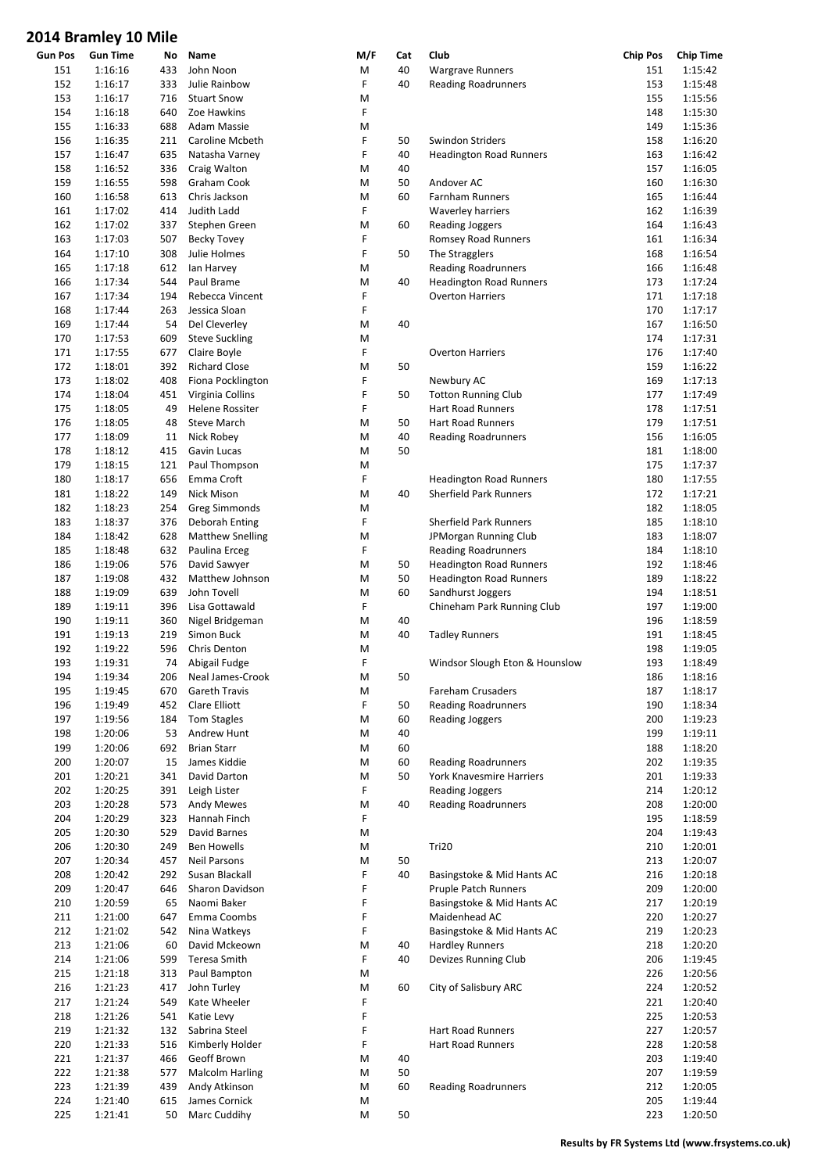| <b>Gun Pos</b> | <b>Gun Time</b> | No  | Name                    | M/F                                                                                                        | Cat | Club                           | <b>Chip Pos</b> | <b>Chip Time</b> |
|----------------|-----------------|-----|-------------------------|------------------------------------------------------------------------------------------------------------|-----|--------------------------------|-----------------|------------------|
| 151            | 1:16:16         | 433 | John Noon               | M                                                                                                          | 40  | <b>Wargrave Runners</b>        | 151             | 1:15:42          |
| 152            | 1:16:17         | 333 | Julie Rainbow           | F                                                                                                          | 40  | <b>Reading Roadrunners</b>     | 153             | 1:15:48          |
| 153            | 1:16:17         | 716 | <b>Stuart Snow</b>      | M                                                                                                          |     |                                | 155             | 1:15:56          |
| 154            | 1:16:18         | 640 | Zoe Hawkins             | F                                                                                                          |     |                                | 148             | 1:15:30          |
| 155            | 1:16:33         | 688 | Adam Massie             | M                                                                                                          |     |                                | 149             | 1:15:36          |
| 156            | 1:16:35         | 211 | Caroline Mcbeth         | F                                                                                                          | 50  | Swindon Striders               | 158             | 1:16:20          |
| 157            | 1:16:47         | 635 | Natasha Varney          | F                                                                                                          | 40  | <b>Headington Road Runners</b> | 163             | 1:16:42          |
| 158            | 1:16:52         | 336 | Craig Walton            | M                                                                                                          | 40  |                                | 157             | 1:16:05          |
| 159            | 1:16:55         | 598 | Graham Cook             | M                                                                                                          | 50  | Andover AC                     | 160             | 1:16:30          |
| 160            | 1:16:58         | 613 | Chris Jackson           | M                                                                                                          | 60  | Farnham Runners                | 165             | 1:16:44          |
| 161            | 1:17:02         | 414 | Judith Ladd             | F                                                                                                          |     | <b>Waverley harriers</b>       | 162             | 1:16:39          |
| 162            | 1:17:02         | 337 | Stephen Green           | M                                                                                                          | 60  | <b>Reading Joggers</b>         | 164             | 1:16:43          |
| 163            | 1:17:03         | 507 | <b>Becky Tovey</b>      | F                                                                                                          |     | Romsey Road Runners            | 161             | 1:16:34          |
| 164            | 1:17:10         | 308 | Julie Holmes            | F                                                                                                          | 50  | The Stragglers                 | 168             | 1:16:54          |
| 165            | 1:17:18         | 612 | lan Harvey              | M                                                                                                          |     | <b>Reading Roadrunners</b>     | 166             | 1:16:48          |
| 166            | 1:17:34         | 544 | Paul Brame              | M                                                                                                          | 40  | <b>Headington Road Runners</b> | 173             | 1:17:24          |
|                |                 |     |                         | F                                                                                                          |     |                                |                 |                  |
| 167            | 1:17:34         | 194 | Rebecca Vincent         |                                                                                                            |     | <b>Overton Harriers</b>        | 171             | 1:17:18          |
| 168            | 1:17:44         | 263 | Jessica Sloan           | F                                                                                                          |     |                                | 170             | 1:17:17          |
| 169            | 1:17:44         | 54  | Del Cleverley           | M                                                                                                          | 40  |                                | 167             | 1:16:50          |
| 170            | 1:17:53         | 609 | <b>Steve Suckling</b>   | M                                                                                                          |     |                                | 174             | 1:17:31          |
| 171            | 1:17:55         | 677 | Claire Boyle            | F                                                                                                          |     | <b>Overton Harriers</b>        | 176             | 1:17:40          |
| 172            | 1:18:01         | 392 | <b>Richard Close</b>    | M                                                                                                          | 50  |                                | 159             | 1:16:22          |
| 173            | 1:18:02         | 408 | Fiona Pocklington       | F                                                                                                          |     | Newbury AC                     | 169             | 1:17:13          |
| 174            | 1:18:04         | 451 | Virginia Collins        | F                                                                                                          | 50  | <b>Totton Running Club</b>     | 177             | 1:17:49          |
| 175            | 1:18:05         | 49  | Helene Rossiter         | F                                                                                                          |     | <b>Hart Road Runners</b>       | 178             | 1:17:51          |
| 176            | 1:18:05         | 48  | <b>Steve March</b>      | M                                                                                                          | 50  | Hart Road Runners              | 179             | 1:17:51          |
| 177            | 1:18:09         | 11  | Nick Robey              | M                                                                                                          | 40  | <b>Reading Roadrunners</b>     | 156             | 1:16:05          |
| 178            | 1:18:12         | 415 | Gavin Lucas             | M                                                                                                          | 50  |                                | 181             | 1:18:00          |
| 179            | 1:18:15         | 121 | Paul Thompson           | M                                                                                                          |     |                                | 175             | 1:17:37          |
| 180            | 1:18:17         | 656 | Emma Croft              | F                                                                                                          |     | <b>Headington Road Runners</b> | 180             | 1:17:55          |
| 181            | 1:18:22         | 149 | Nick Mison              | M                                                                                                          | 40  | <b>Sherfield Park Runners</b>  | 172             | 1:17:21          |
| 182            | 1:18:23         | 254 | <b>Greg Simmonds</b>    | M                                                                                                          |     |                                | 182             | 1:18:05          |
| 183            | 1:18:37         | 376 | Deborah Enting          | F                                                                                                          |     | <b>Sherfield Park Runners</b>  | 185             | 1:18:10          |
| 184            | 1:18:42         | 628 | <b>Matthew Snelling</b> | M                                                                                                          |     | JPMorgan Running Club          | 183             | 1:18:07          |
| 185            | 1:18:48         | 632 | Paulina Erceg           | F                                                                                                          |     | <b>Reading Roadrunners</b>     | 184             | 1:18:10          |
| 186            | 1:19:06         | 576 | David Sawyer            | M                                                                                                          | 50  | <b>Headington Road Runners</b> | 192             | 1:18:46          |
| 187            | 1:19:08         | 432 | Matthew Johnson         | M                                                                                                          | 50  | <b>Headington Road Runners</b> | 189             | 1:18:22          |
| 188            | 1:19:09         | 639 | John Tovell             | M                                                                                                          | 60  | Sandhurst Joggers              | 194             | 1:18:51          |
| 189            | 1:19:11         | 396 | Lisa Gottawald          | F                                                                                                          |     | Chineham Park Running Club     | 197             | 1:19:00          |
| 190            | 1:19:11         | 360 | Nigel Bridgeman         | M                                                                                                          | 40  |                                | 196             | 1:18:59          |
| 191            | 1:19:13         | 219 | Simon Buck              | M                                                                                                          | 40  | <b>Tadley Runners</b>          | 191             | 1:18:45          |
|                |                 |     |                         |                                                                                                            |     |                                |                 |                  |
| 192            | 1:19:22         | 596 | Chris Denton            | M                                                                                                          |     |                                | 198             | 1:19:05          |
| 193            | 1:19:31         | 74  | Abigail Fudge           | F                                                                                                          |     | Windsor Slough Eton & Hounslow | 193             | 1:18:49          |
| 194            | 1:19:34         |     | 206 Neal James-Crook    | $\mathsf{M}% _{T}=\mathsf{M}_{T}\!\left( a,b\right) ,\ \mathsf{M}_{T}=\mathsf{M}_{T}\!\left( a,b\right) ,$ | 50  |                                | 186             | 1:18:16          |
| 195            | 1:19:45         | 670 | <b>Gareth Travis</b>    | M                                                                                                          |     | Fareham Crusaders              | 187             | 1:18:17          |
| 196            | 1:19:49         | 452 | Clare Elliott           | F                                                                                                          | 50  | <b>Reading Roadrunners</b>     | 190             | 1:18:34          |
| 197            | 1:19:56         | 184 | Tom Stagles             | M                                                                                                          | 60  | <b>Reading Joggers</b>         | 200             | 1:19:23          |
| 198            | 1:20:06         | 53  | Andrew Hunt             | M                                                                                                          | 40  |                                | 199             | 1:19:11          |
| 199            | 1:20:06         | 692 | <b>Brian Starr</b>      | M                                                                                                          | 60  |                                | 188             | 1:18:20          |
| 200            | 1:20:07         | 15  | James Kiddie            | M                                                                                                          | 60  | <b>Reading Roadrunners</b>     | 202             | 1:19:35          |
| 201            | 1:20:21         | 341 | David Darton            | M                                                                                                          | 50  | York Knavesmire Harriers       | 201             | 1:19:33          |
| 202            | 1:20:25         | 391 | Leigh Lister            | F                                                                                                          |     | <b>Reading Joggers</b>         | 214             | 1:20:12          |
| 203            | 1:20:28         | 573 | <b>Andy Mewes</b>       | M                                                                                                          | 40  | <b>Reading Roadrunners</b>     | 208             | 1:20:00          |
| 204            | 1:20:29         | 323 | Hannah Finch            | F                                                                                                          |     |                                | 195             | 1:18:59          |
| 205            | 1:20:30         | 529 | David Barnes            | M                                                                                                          |     |                                | 204             | 1:19:43          |
| 206            | 1:20:30         | 249 | <b>Ben Howells</b>      | M                                                                                                          |     | Tri20                          | 210             | 1:20:01          |
| 207            | 1:20:34         | 457 | <b>Neil Parsons</b>     | M                                                                                                          | 50  |                                | 213             | 1:20:07          |
| 208            | 1:20:42         | 292 | Susan Blackall          | F                                                                                                          | 40  | Basingstoke & Mid Hants AC     | 216             | 1:20:18          |
| 209            | 1:20:47         | 646 | Sharon Davidson         | F                                                                                                          |     | Pruple Patch Runners           | 209             | 1:20:00          |
| 210            | 1:20:59         | 65  | Naomi Baker             | F                                                                                                          |     | Basingstoke & Mid Hants AC     | 217             | 1:20:19          |
| 211            | 1:21:00         | 647 | Emma Coombs             | F                                                                                                          |     | Maidenhead AC                  | 220             | 1:20:27          |
| 212            | 1:21:02         | 542 | Nina Watkeys            | F                                                                                                          |     | Basingstoke & Mid Hants AC     | 219             | 1:20:23          |
| 213            | 1:21:06         |     | David Mckeown           |                                                                                                            |     | <b>Hardley Runners</b>         | 218             | 1:20:20          |
|                |                 | 60  |                         | M<br>F                                                                                                     | 40  |                                |                 | 1:19:45          |
| 214            | 1:21:06         | 599 | Teresa Smith            |                                                                                                            | 40  | Devizes Running Club           | 206             |                  |
| 215            | 1:21:18         | 313 | Paul Bampton            | M                                                                                                          |     |                                | 226             | 1:20:56          |
| 216            | 1:21:23         | 417 | John Turley             | M                                                                                                          | 60  | City of Salisbury ARC          | 224             | 1:20:52          |
| 217            | 1:21:24         | 549 | Kate Wheeler            | F                                                                                                          |     |                                | 221             | 1:20:40          |
| 218            | 1:21:26         | 541 | Katie Levy              | F                                                                                                          |     |                                | 225             | 1:20:53          |
| 219            | 1:21:32         | 132 | Sabrina Steel           | F                                                                                                          |     | Hart Road Runners              | 227             | 1:20:57          |
| 220            | 1:21:33         | 516 | Kimberly Holder         | F                                                                                                          |     | Hart Road Runners              | 228             | 1:20:58          |
| 221            | 1:21:37         | 466 | Geoff Brown             | M                                                                                                          | 40  |                                | 203             | 1:19:40          |
| 222            | 1:21:38         | 577 | <b>Malcolm Harling</b>  | M                                                                                                          | 50  |                                | 207             | 1:19:59          |
| 223            | 1:21:39         | 439 | Andy Atkinson           | M                                                                                                          | 60  | <b>Reading Roadrunners</b>     | 212             | 1:20:05          |
| 224            | 1:21:40         | 615 | James Cornick           | M                                                                                                          |     |                                | 205             | 1:19:44          |
| 225            | 1:21:41         | 50  | Marc Cuddihy            | M                                                                                                          | 50  |                                | 223             | 1:20:50          |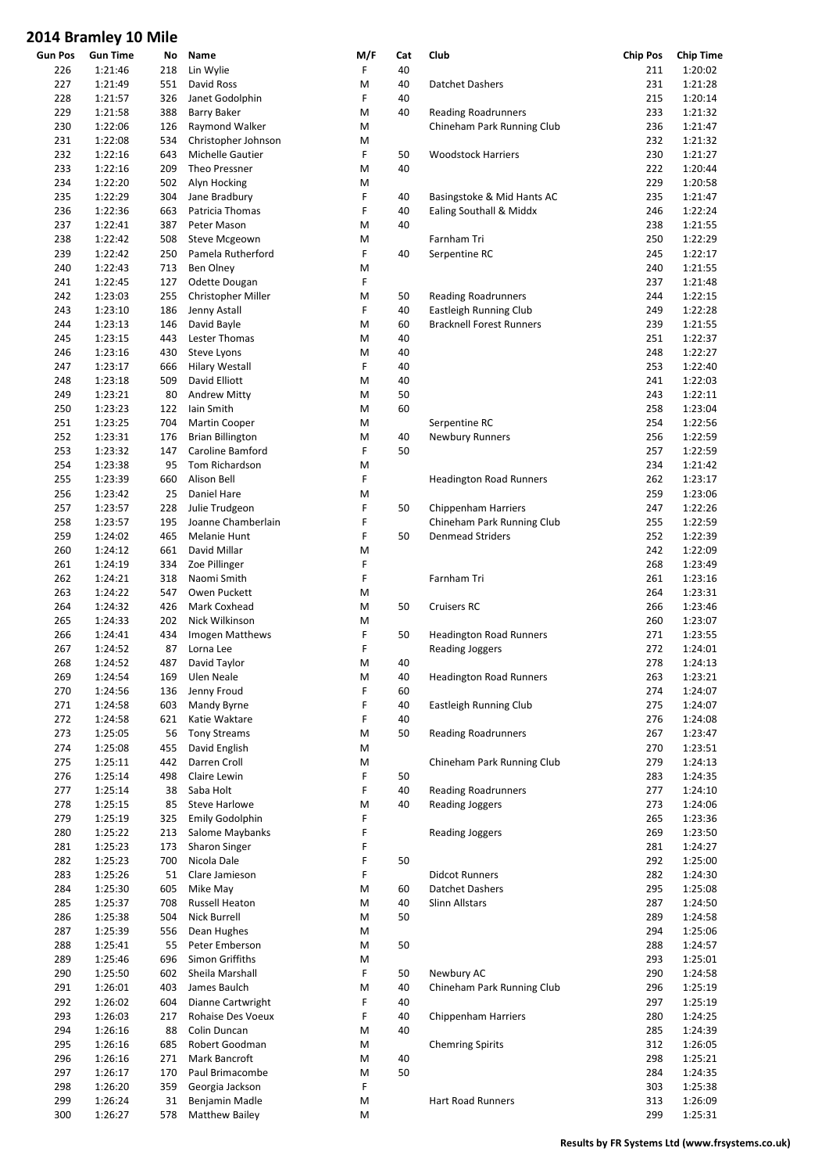| <b>Gun Pos</b> | <b>Gun Time</b> | No  | Name                    | M/F | Cat | Club                            | <b>Chip Pos</b> | <b>Chip Time</b> |
|----------------|-----------------|-----|-------------------------|-----|-----|---------------------------------|-----------------|------------------|
| 226            | 1:21:46         | 218 | Lin Wylie               | F   | 40  |                                 | 211             | 1:20:02          |
| 227            | 1:21:49         | 551 | David Ross              | M   | 40  | Datchet Dashers                 | 231             | 1:21:28          |
| 228            | 1:21:57         | 326 | Janet Godolphin         | F   | 40  |                                 | 215             | 1:20:14          |
| 229            | 1:21:58         | 388 | <b>Barry Baker</b>      | M   | 40  | <b>Reading Roadrunners</b>      | 233             | 1:21:32          |
| 230            | 1:22:06         | 126 | Raymond Walker          | M   |     | Chineham Park Running Club      | 236             | 1:21:47          |
|                | 1:22:08         |     |                         |     |     |                                 | 232             |                  |
| 231            |                 | 534 | Christopher Johnson     | M   |     |                                 |                 | 1:21:32          |
| 232            | 1:22:16         | 643 | Michelle Gautier        | F   | 50  | <b>Woodstock Harriers</b>       | 230             | 1:21:27          |
| 233            | 1:22:16         | 209 | Theo Pressner           | M   | 40  |                                 | 222             | 1:20:44          |
| 234            | 1:22:20         | 502 | Alyn Hocking            | Μ   |     |                                 | 229             | 1:20:58          |
| 235            | 1:22:29         | 304 | Jane Bradbury           | F   | 40  | Basingstoke & Mid Hants AC      | 235             | 1:21:47          |
| 236            | 1:22:36         | 663 | Patricia Thomas         | F   | 40  | Ealing Southall & Middx         | 246             | 1:22:24          |
|                |                 |     | Peter Mason             |     |     |                                 |                 |                  |
| 237            | 1:22:41         | 387 |                         | M   | 40  |                                 | 238             | 1:21:55          |
| 238            | 1:22:42         | 508 | Steve Mcgeown           | M   |     | Farnham Tri                     | 250             | 1:22:29          |
| 239            | 1:22:42         | 250 | Pamela Rutherford       | F   | 40  | Serpentine RC                   | 245             | 1:22:17          |
| 240            | 1:22:43         | 713 | Ben Olney               | М   |     |                                 | 240             | 1:21:55          |
| 241            | 1:22:45         | 127 | Odette Dougan           | F   |     |                                 | 237             | 1:21:48          |
| 242            | 1:23:03         | 255 | Christopher Miller      | M   | 50  | <b>Reading Roadrunners</b>      | 244             | 1:22:15          |
|                |                 |     |                         |     |     |                                 |                 |                  |
| 243            | 1:23:10         | 186 | Jenny Astall            | F   | 40  | Eastleigh Running Club          | 249             | 1:22:28          |
| 244            | 1:23:13         | 146 | David Bayle             | M   | 60  | <b>Bracknell Forest Runners</b> | 239             | 1:21:55          |
| 245            | 1:23:15         | 443 | Lester Thomas           | M   | 40  |                                 | 251             | 1:22:37          |
| 246            | 1:23:16         | 430 | Steve Lyons             | M   | 40  |                                 | 248             | 1:22:27          |
| 247            | 1:23:17         | 666 | <b>Hilary Westall</b>   | F   | 40  |                                 | 253             | 1:22:40          |
| 248            | 1:23:18         | 509 | David Elliott           | M   | 40  |                                 | 241             | 1:22:03          |
|                |                 |     |                         |     |     |                                 |                 |                  |
| 249            | 1:23:21         | 80  | <b>Andrew Mitty</b>     | M   | 50  |                                 | 243             | 1:22:11          |
| 250            | 1:23:23         | 122 | Iain Smith              | M   | 60  |                                 | 258             | 1:23:04          |
| 251            | 1:23:25         | 704 | Martin Cooper           | M   |     | Serpentine RC                   | 254             | 1:22:56          |
| 252            | 1:23:31         | 176 | <b>Brian Billington</b> | M   | 40  | Newbury Runners                 | 256             | 1:22:59          |
| 253            | 1:23:32         | 147 | Caroline Bamford        | F   | 50  |                                 | 257             | 1:22:59          |
| 254            | 1:23:38         | 95  | Tom Richardson          | М   |     |                                 | 234             | 1:21:42          |
|                |                 |     |                         |     |     |                                 |                 |                  |
| 255            | 1:23:39         | 660 | Alison Bell             | F   |     | <b>Headington Road Runners</b>  | 262             | 1:23:17          |
| 256            | 1:23:42         | 25  | Daniel Hare             | M   |     |                                 | 259             | 1:23:06          |
| 257            | 1:23:57         | 228 | Julie Trudgeon          | F   | 50  | Chippenham Harriers             | 247             | 1:22:26          |
| 258            | 1:23:57         | 195 | Joanne Chamberlain      | F   |     | Chineham Park Running Club      | 255             | 1:22:59          |
| 259            | 1:24:02         | 465 | Melanie Hunt            | F   | 50  | <b>Denmead Striders</b>         | 252             | 1:22:39          |
| 260            | 1:24:12         | 661 | David Millar            | Μ   |     |                                 | 242             | 1:22:09          |
|                |                 |     |                         |     |     |                                 |                 |                  |
| 261            | 1:24:19         | 334 | Zoe Pillinger           | F   |     |                                 | 268             | 1:23:49          |
| 262            | 1:24:21         | 318 | Naomi Smith             | F   |     | Farnham Tri                     | 261             | 1:23:16          |
| 263            | 1:24:22         | 547 | Owen Puckett            | Μ   |     |                                 | 264             | 1:23:31          |
| 264            | 1:24:32         | 426 | Mark Coxhead            | M   | 50  | Cruisers RC                     | 266             | 1:23:46          |
| 265            | 1:24:33         | 202 | Nick Wilkinson          | M   |     |                                 | 260             | 1:23:07          |
| 266            | 1:24:41         | 434 | Imogen Matthews         | F   | 50  | <b>Headington Road Runners</b>  | 271             | 1:23:55          |
|                |                 |     |                         |     |     |                                 |                 |                  |
| 267            | 1:24:52         | 87  | Lorna Lee               | F   |     | <b>Reading Joggers</b>          | 272             | 1:24:01          |
| 268            | 1:24:52         | 487 | David Taylor            | М   | 40  |                                 | 278             | 1:24:13          |
| 269            | 1:24:54         |     | 169 Ulen Neale          | M   | 40  | <b>Headington Road Runners</b>  | 263             | 1:23:21          |
| 270            | 1:24:56         | 136 | Jenny Froud             | F   | 60  |                                 | 274             | 1:24:07          |
| 271            | 1:24:58         | 603 | Mandy Byrne             | F   | 40  | Eastleigh Running Club          | 275             | 1:24:07          |
| 272            | 1:24:58         | 621 | Katie Waktare           | F   | 40  |                                 | 276             | 1:24:08          |
|                |                 |     |                         |     | 50  |                                 |                 |                  |
| 273            | 1:25:05         | 56  | <b>Tony Streams</b>     | M   |     | <b>Reading Roadrunners</b>      | 267             | 1:23:47          |
| 274            | 1:25:08         | 455 | David English           | M   |     |                                 | 270             | 1:23:51          |
| 275            | 1:25:11         | 442 | Darren Croll            | M   |     | Chineham Park Running Club      | 279             | 1:24:13          |
| 276            | 1:25:14         | 498 | Claire Lewin            | F   | 50  |                                 | 283             | 1:24:35          |
| 277            | 1:25:14         | 38  | Saba Holt               | F   | 40  | <b>Reading Roadrunners</b>      | 277             | 1:24:10          |
| 278            | 1:25:15         | 85  | Steve Harlowe           | M   | 40  | <b>Reading Joggers</b>          | 273             | 1:24:06          |
| 279            | 1:25:19         | 325 | <b>Emily Godolphin</b>  | F   |     |                                 | 265             | 1:23:36          |
|                |                 |     |                         |     |     |                                 |                 |                  |
| 280            | 1:25:22         | 213 | Salome Maybanks         | F   |     | <b>Reading Joggers</b>          | 269             | 1:23:50          |
| 281            | 1:25:23         | 173 | Sharon Singer           | F   |     |                                 | 281             | 1:24:27          |
| 282            | 1:25:23         | 700 | Nicola Dale             | F   | 50  |                                 | 292             | 1:25:00          |
| 283            | 1:25:26         | 51  | Clare Jamieson          | F   |     | <b>Didcot Runners</b>           | 282             | 1:24:30          |
| 284            | 1:25:30         | 605 | Mike May                | Μ   | 60  | Datchet Dashers                 | 295             | 1:25:08          |
|                |                 |     |                         |     |     |                                 |                 |                  |
| 285            | 1:25:37         | 708 | Russell Heaton          | Μ   | 40  | <b>Slinn Allstars</b>           | 287             | 1:24:50          |
| 286            | 1:25:38         | 504 | Nick Burrell            | M   | 50  |                                 | 289             | 1:24:58          |
| 287            | 1:25:39         | 556 | Dean Hughes             | Μ   |     |                                 | 294             | 1:25:06          |
| 288            | 1:25:41         | 55  | Peter Emberson          | M   | 50  |                                 | 288             | 1:24:57          |
| 289            | 1:25:46         | 696 | Simon Griffiths         | М   |     |                                 | 293             | 1:25:01          |
| 290            | 1:25:50         | 602 | Sheila Marshall         | F   | 50  | Newbury AC                      | 290             | 1:24:58          |
| 291            | 1:26:01         | 403 | James Baulch            | M   | 40  | Chineham Park Running Club      | 296             | 1:25:19          |
|                |                 |     |                         |     |     |                                 |                 |                  |
| 292            | 1:26:02         | 604 | Dianne Cartwright       | F   | 40  |                                 | 297             | 1:25:19          |
| 293            | 1:26:03         | 217 | Rohaise Des Voeux       | F   | 40  | Chippenham Harriers             | 280             | 1:24:25          |
| 294            | 1:26:16         | 88  | Colin Duncan            | Μ   | 40  |                                 | 285             | 1:24:39          |
| 295            | 1:26:16         | 685 | Robert Goodman          | М   |     | <b>Chemring Spirits</b>         | 312             | 1:26:05          |
| 296            | 1:26:16         | 271 | Mark Bancroft           | M   | 40  |                                 | 298             | 1:25:21          |
| 297            | 1:26:17         | 170 | Paul Brimacombe         | Μ   | 50  |                                 | 284             | 1:24:35          |
|                |                 |     |                         |     |     |                                 |                 |                  |
| 298            | 1:26:20         | 359 | Georgia Jackson         | F   |     |                                 | 303             | 1:25:38          |
| 299            | 1:26:24         | 31  | Benjamin Madle          | M   |     | Hart Road Runners               | 313             | 1:26:09          |
| 300            | 1:26:27         | 578 | <b>Matthew Bailey</b>   | Μ   |     |                                 | 299             | 1:25:31          |
|                |                 |     |                         |     |     |                                 |                 |                  |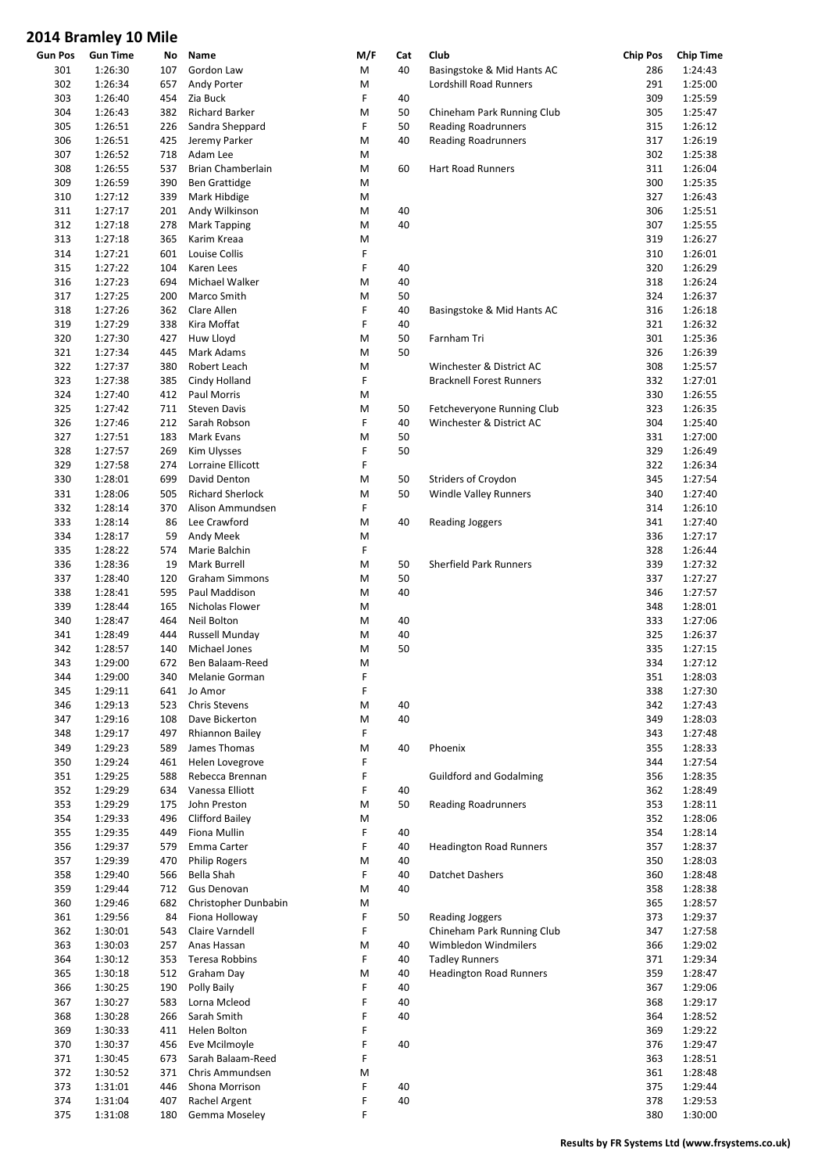|         | סווויט עב y ווווס וש |     |                         |     |     |                                 |                 |                  |
|---------|----------------------|-----|-------------------------|-----|-----|---------------------------------|-----------------|------------------|
| Gun Pos | <b>Gun Time</b>      | No  | Name                    | M/F | Cat | Club                            | <b>Chip Pos</b> | <b>Chip Time</b> |
| 301     | 1:26:30              | 107 | Gordon Law              | M   | 40  | Basingstoke & Mid Hants AC      | 286             | 1:24:43          |
| 302     | 1:26:34              | 657 | Andy Porter             | M   |     | Lordshill Road Runners          | 291             | 1:25:00          |
| 303     | 1:26:40              | 454 | Zia Buck                | F   | 40  |                                 | 309             | 1:25:59          |
| 304     | 1:26:43              | 382 | <b>Richard Barker</b>   | M   | 50  | Chineham Park Running Club      | 305             | 1:25:47          |
| 305     | 1:26:51              | 226 | Sandra Sheppard         | F   | 50  | <b>Reading Roadrunners</b>      | 315             | 1:26:12          |
| 306     | 1:26:51              | 425 | Jeremy Parker           | M   | 40  | <b>Reading Roadrunners</b>      | 317             | 1:26:19          |
| 307     | 1:26:52              | 718 | Adam Lee                | M   |     |                                 | 302             | 1:25:38          |
| 308     | 1:26:55              | 537 | Brian Chamberlain       | M   | 60  | <b>Hart Road Runners</b>        | 311             | 1:26:04          |
| 309     | 1:26:59              | 390 | <b>Ben Grattidge</b>    | M   |     |                                 | 300             | 1:25:35          |
| 310     | 1:27:12              | 339 | Mark Hibdige            | M   |     |                                 | 327             | 1:26:43          |
| 311     | 1:27:17              | 201 | Andy Wilkinson          | M   | 40  |                                 | 306             | 1:25:51          |
| 312     | 1:27:18              | 278 | <b>Mark Tapping</b>     | M   | 40  |                                 | 307             | 1:25:55          |
| 313     | 1:27:18              | 365 | Karim Kreaa             | M   |     |                                 | 319             | 1:26:27          |
| 314     | 1:27:21              | 601 | Louise Collis           | F   |     |                                 | 310             | 1:26:01          |
| 315     | 1:27:22              | 104 | Karen Lees              | F   | 40  |                                 | 320             | 1:26:29          |
| 316     | 1:27:23              | 694 | Michael Walker          | M   | 40  |                                 | 318             | 1:26:24          |
| 317     | 1:27:25              | 200 | Marco Smith             | M   | 50  |                                 | 324             | 1:26:37          |
| 318     | 1:27:26              | 362 | Clare Allen             | F   | 40  | Basingstoke & Mid Hants AC      | 316             | 1:26:18          |
| 319     | 1:27:29              | 338 | Kira Moffat             | F   | 40  |                                 | 321             | 1:26:32          |
| 320     | 1:27:30              | 427 | Huw Lloyd               | M   | 50  | Farnham Tri                     | 301             | 1:25:36          |
| 321     | 1:27:34              | 445 | Mark Adams              | M   | 50  |                                 | 326             | 1:26:39          |
| 322     | 1:27:37              | 380 | Robert Leach            | M   |     | Winchester & District AC        | 308             | 1:25:57          |
| 323     | 1:27:38              | 385 | Cindy Holland           | F   |     | <b>Bracknell Forest Runners</b> | 332             | 1:27:01          |
| 324     | 1:27:40              | 412 | Paul Morris             | M   |     |                                 | 330             | 1:26:55          |
| 325     | 1:27:42              | 711 | <b>Steven Davis</b>     | M   | 50  | Fetcheveryone Running Club      | 323             | 1:26:35          |
| 326     | 1:27:46              | 212 | Sarah Robson            | F   | 40  | Winchester & District AC        | 304             | 1:25:40          |
| 327     | 1:27:51              | 183 | Mark Evans              | M   | 50  |                                 | 331             | 1:27:00          |
| 328     | 1:27:57              | 269 | Kim Ulysses             | F   | 50  |                                 | 329             | 1:26:49          |
|         |                      |     |                         | F   |     |                                 | 322             |                  |
| 329     | 1:27:58              | 274 | Lorraine Ellicott       |     |     |                                 |                 | 1:26:34          |
| 330     | 1:28:01              | 699 | David Denton            | M   | 50  | Striders of Croydon             | 345             | 1:27:54          |
| 331     | 1:28:06              | 505 | <b>Richard Sherlock</b> | M   | 50  | <b>Windle Valley Runners</b>    | 340             | 1:27:40          |
| 332     | 1:28:14              | 370 | Alison Ammundsen        | F   |     |                                 | 314             | 1:26:10          |
| 333     | 1:28:14              | 86  | Lee Crawford            | M   | 40  | <b>Reading Joggers</b>          | 341             | 1:27:40          |
| 334     | 1:28:17              | 59  | Andy Meek               | M   |     |                                 | 336             | 1:27:17          |
| 335     | 1:28:22              | 574 | Marie Balchin           | F   |     |                                 | 328             | 1:26:44          |
| 336     | 1:28:36              | 19  | Mark Burrell            | M   | 50  | <b>Sherfield Park Runners</b>   | 339             | 1:27:32          |
| 337     | 1:28:40              | 120 | <b>Graham Simmons</b>   | M   | 50  |                                 | 337             | 1:27:27          |
| 338     | 1:28:41              | 595 | Paul Maddison           | M   | 40  |                                 | 346             | 1:27:57          |
| 339     | 1:28:44              | 165 | Nicholas Flower         | M   |     |                                 | 348             | 1:28:01          |
| 340     | 1:28:47              | 464 | Neil Bolton             | M   | 40  |                                 | 333             | 1:27:06          |
| 341     | 1:28:49              | 444 | Russell Munday          | M   | 40  |                                 | 325             | 1:26:37          |
| 342     | 1:28:57              | 140 | <b>Michael Jones</b>    | M   | 50  |                                 | 335             | 1:27:15          |
| 343     | 1:29:00              | 672 | Ben Balaam-Reed         | M   |     |                                 | 334             | 1:27:12          |
| 344     | 1:29:00              | 340 | Melanie Gorman          | F   |     |                                 | 351             | 1:28:03          |
| 345     | 1:29:11              | 641 | Jo Amor                 | F   |     |                                 | 338             | 1:27:30          |
| 346     | 1:29:13              | 523 | <b>Chris Stevens</b>    | M   | 40  |                                 | 342             | 1:27:43          |
| 347     | 1:29:16              | 108 | Dave Bickerton          | M   | 40  |                                 | 349             | 1:28:03          |
| 348     | 1:29:17              | 497 | Rhiannon Bailey         | F   |     |                                 | 343             | 1:27:48          |
| 349     | 1:29:23              | 589 | James Thomas            | M   | 40  | Phoenix                         | 355             | 1:28:33          |
| 350     | 1:29:24              | 461 | Helen Lovegrove         | F   |     |                                 | 344             | 1:27:54          |
| 351     | 1:29:25              | 588 | Rebecca Brennan         | F   |     | <b>Guildford and Godalming</b>  | 356             | 1:28:35          |
| 352     | 1:29:29              | 634 | Vanessa Elliott         | F   | 40  |                                 | 362             | 1:28:49          |
| 353     | 1:29:29              | 175 | John Preston            | M   | 50  | <b>Reading Roadrunners</b>      | 353             | 1:28:11          |
| 354     | 1:29:33              | 496 | <b>Clifford Bailey</b>  | M   |     |                                 | 352             | 1:28:06          |
| 355     | 1:29:35              | 449 | Fiona Mullin            | F   | 40  |                                 | 354             | 1:28:14          |
| 356     | 1:29:37              | 579 | Emma Carter             | F   | 40  | <b>Headington Road Runners</b>  | 357             | 1:28:37          |
| 357     | 1:29:39              | 470 | <b>Philip Rogers</b>    | M   | 40  |                                 | 350             | 1:28:03          |
| 358     | 1:29:40              | 566 | Bella Shah              | F   | 40  | Datchet Dashers                 | 360             | 1:28:48          |
| 359     | 1:29:44              | 712 | Gus Denovan             | M   | 40  |                                 | 358             | 1:28:38          |
| 360     | 1:29:46              | 682 | Christopher Dunbabin    | M   |     |                                 | 365             | 1:28:57          |
| 361     | 1:29:56              | 84  | Fiona Holloway          | F   | 50  | <b>Reading Joggers</b>          | 373             | 1:29:37          |
| 362     | 1:30:01              | 543 | Claire Varndell         | F   |     | Chineham Park Running Club      | 347             | 1:27:58          |
| 363     | 1:30:03              | 257 | Anas Hassan             | M   | 40  | Wimbledon Windmilers            | 366             | 1:29:02          |
|         |                      |     |                         | F   |     |                                 |                 |                  |
| 364     | 1:30:12              | 353 | Teresa Robbins          |     | 40  | <b>Tadley Runners</b>           | 371             | 1:29:34          |
| 365     | 1:30:18              | 512 | Graham Day              | M   | 40  | <b>Headington Road Runners</b>  | 359             | 1:28:47          |
| 366     | 1:30:25              | 190 | Polly Baily             | F   | 40  |                                 | 367             | 1:29:06          |
| 367     | 1:30:27              | 583 | Lorna Mcleod            | F   | 40  |                                 | 368             | 1:29:17          |
| 368     | 1:30:28              | 266 | Sarah Smith             | F   | 40  |                                 | 364             | 1:28:52          |
| 369     | 1:30:33              | 411 | Helen Bolton            | F   |     |                                 | 369             | 1:29:22          |
| 370     | 1:30:37              | 456 | Eve Mcilmoyle           | F   | 40  |                                 | 376             | 1:29:47          |
| 371     | 1:30:45              | 673 | Sarah Balaam-Reed       | F   |     |                                 | 363             | 1:28:51          |
| 372     | 1:30:52              | 371 | Chris Ammundsen         | M   |     |                                 | 361             | 1:28:48          |
| 373     | 1:31:01              | 446 | Shona Morrison          | F   | 40  |                                 | 375             | 1:29:44          |
| 374     | 1:31:04              | 407 | Rachel Argent           | F   | 40  |                                 | 378             | 1:29:53          |
| 375     | 1:31:08              | 180 | Gemma Moseley           | F   |     |                                 | 380             | 1:30:00          |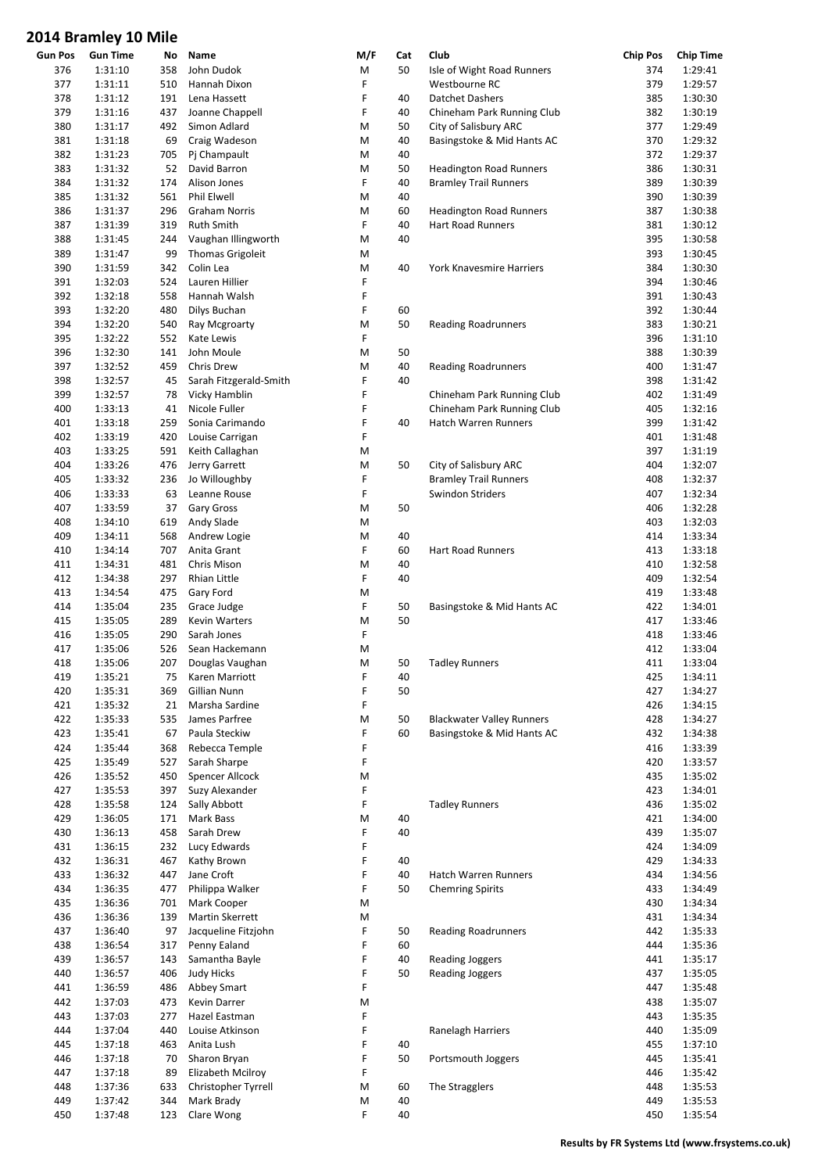|         | סווייו טב y וויווס וש |     |                        |     |          |                                  |                 |                  |
|---------|-----------------------|-----|------------------------|-----|----------|----------------------------------|-----------------|------------------|
| Gun Pos | <b>Gun Time</b>       | No  | Name                   | M/F | Cat      | Club                             | <b>Chip Pos</b> | <b>Chip Time</b> |
| 376     | 1:31:10               | 358 | John Dudok             | М   | 50       | Isle of Wight Road Runners       | 374             | 1:29:41          |
| 377     | 1:31:11               | 510 | Hannah Dixon           | F   |          | Westbourne RC                    | 379             | 1:29:57          |
| 378     | 1:31:12               | 191 | Lena Hassett           | F   | 40       | <b>Datchet Dashers</b>           | 385             | 1:30:30          |
| 379     | 1:31:16               | 437 | Joanne Chappell        | F   | 40       | Chineham Park Running Club       | 382             | 1:30:19          |
| 380     | 1:31:17               | 492 | Simon Adlard           | M   | 50       | City of Salisbury ARC            | 377             | 1:29:49          |
| 381     | 1:31:18               | 69  | Craig Wadeson          | M   | 40       | Basingstoke & Mid Hants AC       | 370             | 1:29:32          |
| 382     | 1:31:23               | 705 | Pj Champault           | M   | 40       |                                  | 372             | 1:29:37          |
| 383     | 1:31:32               | 52  | David Barron           | M   | 50       | <b>Headington Road Runners</b>   | 386             | 1:30:31          |
| 384     | 1:31:32               | 174 | Alison Jones           | F   | 40       | <b>Bramley Trail Runners</b>     | 389             | 1:30:39          |
| 385     | 1:31:32               | 561 | Phil Elwell            | M   | 40       |                                  | 390             | 1:30:39          |
| 386     | 1:31:37               | 296 | <b>Graham Norris</b>   | M   | 60       | <b>Headington Road Runners</b>   | 387             | 1:30:38          |
| 387     | 1:31:39               | 319 | <b>Ruth Smith</b>      | F   | 40       | <b>Hart Road Runners</b>         | 381             | 1:30:12          |
| 388     | 1:31:45               | 244 | Vaughan Illingworth    | M   | 40       |                                  | 395             | 1:30:58          |
| 389     | 1:31:47               | 99  | Thomas Grigoleit       | M   |          |                                  | 393             | 1:30:45          |
| 390     | 1:31:59               | 342 | Colin Lea              | M   | 40       | York Knavesmire Harriers         | 384             | 1:30:30          |
| 391     | 1:32:03               | 524 | Lauren Hillier         | F   |          |                                  | 394             | 1:30:46          |
| 392     | 1:32:18               | 558 | Hannah Walsh           | F   |          |                                  | 391             | 1:30:43          |
| 393     | 1:32:20               | 480 | Dilys Buchan           | F   | 60       |                                  | 392             | 1:30:44          |
| 394     | 1:32:20               | 540 | Ray Mcgroarty          | M   | 50       | <b>Reading Roadrunners</b>       | 383             | 1:30:21          |
| 395     | 1:32:22               | 552 | Kate Lewis             | F   |          |                                  | 396             | 1:31:10          |
| 396     | 1:32:30               | 141 | John Moule             | M   | 50       |                                  | 388             | 1:30:39          |
| 397     | 1:32:52               | 459 | Chris Drew             | M   | 40       | <b>Reading Roadrunners</b>       | 400             | 1:31:47          |
| 398     | 1:32:57               | 45  | Sarah Fitzgerald-Smith | F   | 40       |                                  | 398             | 1:31:42          |
|         |                       |     |                        | F   |          |                                  | 402             |                  |
| 399     | 1:32:57               | 78  | Vicky Hamblin          |     |          | Chineham Park Running Club       |                 | 1:31:49          |
| 400     | 1:33:13               | 41  | Nicole Fuller          | F   |          | Chineham Park Running Club       | 405             | 1:32:16          |
| 401     | 1:33:18               | 259 | Sonia Carimando        | F   | 40       | <b>Hatch Warren Runners</b>      | 399             | 1:31:42          |
| 402     | 1:33:19               | 420 | Louise Carrigan        | F   |          |                                  | 401             | 1:31:48          |
| 403     | 1:33:25               | 591 | Keith Callaghan        | M   |          |                                  | 397             | 1:31:19          |
| 404     | 1:33:26               | 476 | Jerry Garrett          | M   | 50       | City of Salisbury ARC            | 404             | 1:32:07          |
| 405     | 1:33:32               | 236 | Jo Willoughby          | F   |          | <b>Bramley Trail Runners</b>     | 408             | 1:32:37          |
| 406     | 1:33:33               | 63  | Leanne Rouse           | F   |          | Swindon Striders                 | 407             | 1:32:34          |
| 407     | 1:33:59               | 37  | Gary Gross             | M   | 50       |                                  | 406             | 1:32:28          |
| 408     | 1:34:10               | 619 | Andy Slade             | M   |          |                                  | 403             | 1:32:03          |
| 409     | 1:34:11               | 568 | Andrew Logie           | M   | 40       |                                  | 414             | 1:33:34          |
| 410     | 1:34:14               | 707 | Anita Grant            | F   | 60       | <b>Hart Road Runners</b>         | 413             | 1:33:18          |
| 411     | 1:34:31               | 481 | Chris Mison            | M   | 40       |                                  | 410             | 1:32:58          |
| 412     | 1:34:38               | 297 | Rhian Little           | F   | 40       |                                  | 409             | 1:32:54          |
| 413     | 1:34:54               | 475 | Gary Ford              | M   |          |                                  | 419             | 1:33:48          |
| 414     | 1:35:04               | 235 | Grace Judge            | F   | 50       | Basingstoke & Mid Hants AC       | 422             | 1:34:01          |
| 415     | 1:35:05               | 289 | Kevin Warters          | M   | 50       |                                  | 417             | 1:33:46          |
| 416     | 1:35:05               | 290 | Sarah Jones            | F   |          |                                  | 418             | 1:33:46          |
| 417     | 1:35:06               | 526 | Sean Hackemann         | M   |          |                                  | 412             | 1:33:04          |
| 418     | 1:35:06               | 207 | Douglas Vaughan        | M   | 50       | <b>Tadley Runners</b>            | 411             | 1:33:04          |
| 419     | 1:35:21               | 75  | Karen Marriott         | F   | 40       |                                  | 425             | 1:34:11          |
| 420     | 1:35:31               | 369 | Gillian Nunn           | F   | 50       |                                  | 427             | 1:34:27          |
| 421     | 1:35:32               | 21  | Marsha Sardine         | F   |          |                                  | 426             | 1:34:15          |
| 422     | 1:35:33               | 535 | James Parfree          | M   | 50       | <b>Blackwater Valley Runners</b> | 428             | 1:34:27          |
| 423     | 1:35:41               | 67  | Paula Steckiw          | F   | 60       | Basingstoke & Mid Hants AC       | 432             | 1:34:38          |
| 424     | 1:35:44               | 368 | Rebecca Temple         | F   |          |                                  | 416             | 1:33:39          |
| 425     | 1:35:49               | 527 | Sarah Sharpe           | F   |          |                                  | 420             | 1:33:57          |
| 426     | 1:35:52               | 450 | Spencer Allcock        | M   |          |                                  | 435             | 1:35:02          |
| 427     | 1:35:53               | 397 | Suzy Alexander         | F   |          |                                  | 423             | 1:34:01          |
| 428     | 1:35:58               | 124 | Sally Abbott           | F   |          | <b>Tadley Runners</b>            | 436             | 1:35:02          |
| 429     | 1:36:05               | 171 | Mark Bass              | M   | 40       |                                  | 421             | 1:34:00          |
| 430     | 1:36:13               | 458 | Sarah Drew             | F   | 40       |                                  | 439             | 1:35:07          |
| 431     | 1:36:15               | 232 | Lucy Edwards           | F   |          |                                  | 424             | 1:34:09          |
| 432     | 1:36:31               | 467 | Kathy Brown            | F   | 40       |                                  | 429             | 1:34:33          |
| 433     | 1:36:32               | 447 | Jane Croft             | F   | 40       | Hatch Warren Runners             | 434             | 1:34:56          |
| 434     | 1:36:35               | 477 | Philippa Walker        | F   | 50       | <b>Chemring Spirits</b>          | 433             | 1:34:49          |
| 435     | 1:36:36               | 701 | Mark Cooper            | M   |          |                                  | 430             | 1:34:34          |
| 436     | 1:36:36               | 139 | Martin Skerrett        | M   |          |                                  | 431             | 1:34:34          |
| 437     | 1:36:40               | 97  | Jacqueline Fitzjohn    | F   | 50       | <b>Reading Roadrunners</b>       | 442             | 1:35:33          |
| 438     | 1:36:54               | 317 | Penny Ealand           | F   |          |                                  | 444             | 1:35:36          |
| 439     | 1:36:57               | 143 | Samantha Bayle         | F   | 60<br>40 | <b>Reading Joggers</b>           | 441             | 1:35:17          |
| 440     | 1:36:57               | 406 | <b>Judy Hicks</b>      | F   | 50       | <b>Reading Joggers</b>           | 437             | 1:35:05          |
|         |                       |     |                        | F   |          |                                  |                 |                  |
| 441     | 1:36:59               | 486 | Abbey Smart            |     |          |                                  | 447             | 1:35:48          |
| 442     | 1:37:03               | 473 | Kevin Darrer           | M   |          |                                  | 438             | 1:35:07          |
| 443     | 1:37:03               | 277 | Hazel Eastman          | F   |          |                                  | 443             | 1:35:35          |
| 444     | 1:37:04               | 440 | Louise Atkinson        | F   |          | Ranelagh Harriers                | 440             | 1:35:09          |
| 445     | 1:37:18               | 463 | Anita Lush             | F   | 40       |                                  | 455             | 1:37:10          |
| 446     | 1:37:18               | 70  | Sharon Bryan           | F   | 50       | Portsmouth Joggers               | 445             | 1:35:41          |
| 447     | 1:37:18               | 89  | Elizabeth Mcilroy      | F   |          |                                  | 446             | 1:35:42          |
| 448     | 1:37:36               | 633 | Christopher Tyrrell    | M   | 60       | The Stragglers                   | 448             | 1:35:53          |
| 449     | 1:37:42               | 344 | Mark Brady             | M   | 40       |                                  | 449             | 1:35:53          |
| 450     | 1:37:48               | 123 | Clare Wong             | F   | 40       |                                  | 450             | 1:35:54          |
|         |                       |     |                        |     |          |                                  |                 |                  |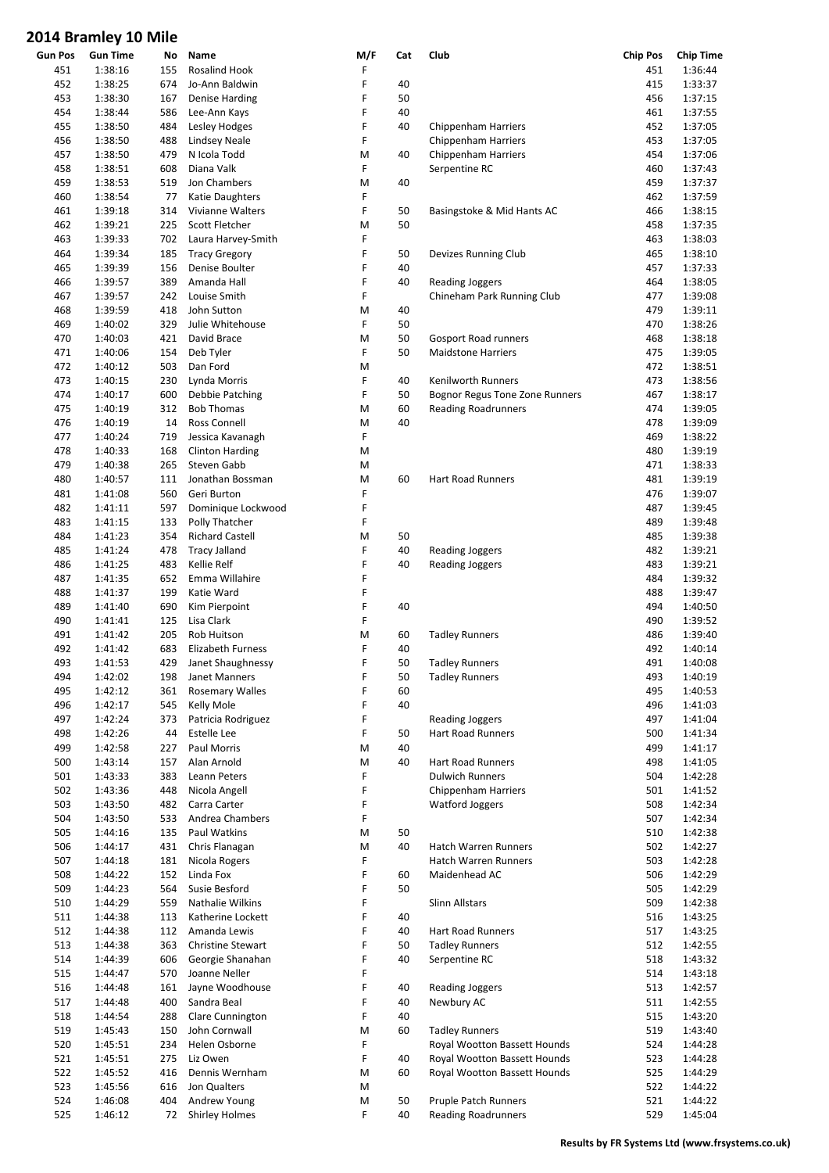|                | סווויט עב עסוווופוט דבט |     |                          |     |     |                                |                 |                  |
|----------------|-------------------------|-----|--------------------------|-----|-----|--------------------------------|-----------------|------------------|
| <b>Gun Pos</b> | <b>Gun Time</b>         | No  | Name                     | M/F | Cat | Club                           | <b>Chip Pos</b> | <b>Chip Time</b> |
| 451            | 1:38:16                 | 155 | Rosalind Hook            | F   |     |                                | 451             | 1:36:44          |
| 452            | 1:38:25                 | 674 | Jo-Ann Baldwin           | F   | 40  |                                | 415             | 1:33:37          |
| 453            | 1:38:30                 | 167 | <b>Denise Harding</b>    | F   | 50  |                                | 456             | 1:37:15          |
|                |                         |     |                          |     |     |                                |                 |                  |
| 454            | 1:38:44                 | 586 | Lee-Ann Kays             | F   | 40  |                                | 461             | 1:37:55          |
| 455            | 1:38:50                 | 484 | Lesley Hodges            | F   | 40  | <b>Chippenham Harriers</b>     | 452             | 1:37:05          |
| 456            | 1:38:50                 | 488 | <b>Lindsey Neale</b>     | F   |     | <b>Chippenham Harriers</b>     | 453             | 1:37:05          |
| 457            | 1:38:50                 | 479 | N Icola Todd             | M   | 40  | <b>Chippenham Harriers</b>     | 454             | 1:37:06          |
| 458            | 1:38:51                 | 608 | Diana Valk               | F   |     | Serpentine RC                  | 460             | 1:37:43          |
| 459            | 1:38:53                 | 519 | Jon Chambers             | M   | 40  |                                | 459             | 1:37:37          |
|                |                         |     |                          | F   |     |                                |                 |                  |
| 460            | 1:38:54                 | 77  | Katie Daughters          |     |     |                                | 462             | 1:37:59          |
| 461            | 1:39:18                 | 314 | Vivianne Walters         | F   | 50  | Basingstoke & Mid Hants AC     | 466             | 1:38:15          |
| 462            | 1:39:21                 | 225 | <b>Scott Fletcher</b>    | M   | 50  |                                | 458             | 1:37:35          |
| 463            | 1:39:33                 | 702 | Laura Harvey-Smith       | F   |     |                                | 463             | 1:38:03          |
| 464            | 1:39:34                 | 185 | <b>Tracy Gregory</b>     | F   | 50  | Devizes Running Club           | 465             | 1:38:10          |
| 465            | 1:39:39                 | 156 | Denise Boulter           | F   | 40  |                                | 457             | 1:37:33          |
|                |                         | 389 | Amanda Hall              | F   | 40  |                                | 464             |                  |
| 466            | 1:39:57                 |     |                          |     |     | <b>Reading Joggers</b>         |                 | 1:38:05          |
| 467            | 1:39:57                 | 242 | Louise Smith             | F   |     | Chineham Park Running Club     | 477             | 1:39:08          |
| 468            | 1:39:59                 | 418 | John Sutton              | M   | 40  |                                | 479             | 1:39:11          |
| 469            | 1:40:02                 | 329 | Julie Whitehouse         | F   | 50  |                                | 470             | 1:38:26          |
| 470            | 1:40:03                 | 421 | David Brace              | M   | 50  | Gosport Road runners           | 468             | 1:38:18          |
| 471            | 1:40:06                 | 154 | Deb Tyler                | F   | 50  | <b>Maidstone Harriers</b>      | 475             | 1:39:05          |
| 472            | 1:40:12                 | 503 | Dan Ford                 | M   |     |                                | 472             | 1:38:51          |
|                |                         |     |                          |     |     |                                |                 |                  |
| 473            | 1:40:15                 | 230 | Lynda Morris             | F   | 40  | Kenilworth Runners             | 473             | 1:38:56          |
| 474            | 1:40:17                 | 600 | Debbie Patching          | F   | 50  | Bognor Regus Tone Zone Runners | 467             | 1:38:17          |
| 475            | 1:40:19                 | 312 | <b>Bob Thomas</b>        | M   | 60  | <b>Reading Roadrunners</b>     | 474             | 1:39:05          |
| 476            | 1:40:19                 | 14  | Ross Connell             | M   | 40  |                                | 478             | 1:39:09          |
| 477            | 1:40:24                 | 719 | Jessica Kavanagh         | F   |     |                                | 469             | 1:38:22          |
|                |                         |     |                          |     |     |                                |                 |                  |
| 478            | 1:40:33                 | 168 | <b>Clinton Harding</b>   | M   |     |                                | 480             | 1:39:19          |
| 479            | 1:40:38                 | 265 | Steven Gabb              | M   |     |                                | 471             | 1:38:33          |
| 480            | 1:40:57                 | 111 | Jonathan Bossman         | M   | 60  | <b>Hart Road Runners</b>       | 481             | 1:39:19          |
| 481            | 1:41:08                 | 560 | Geri Burton              | F   |     |                                | 476             | 1:39:07          |
| 482            | 1:41:11                 | 597 | Dominique Lockwood       | F   |     |                                | 487             | 1:39:45          |
| 483            | 1:41:15                 | 133 | Polly Thatcher           | F   |     |                                | 489             | 1:39:48          |
| 484            | 1:41:23                 | 354 | <b>Richard Castell</b>   | M   | 50  |                                | 485             | 1:39:38          |
|                |                         |     |                          |     |     |                                |                 |                  |
| 485            | 1:41:24                 | 478 | <b>Tracy Jalland</b>     | F   | 40  | <b>Reading Joggers</b>         | 482             | 1:39:21          |
| 486            | 1:41:25                 | 483 | Kellie Relf              | F   | 40  | <b>Reading Joggers</b>         | 483             | 1:39:21          |
| 487            | 1:41:35                 | 652 | Emma Willahire           | F   |     |                                | 484             | 1:39:32          |
| 488            | 1:41:37                 | 199 | Katie Ward               | F   |     |                                | 488             | 1:39:47          |
| 489            | 1:41:40                 | 690 | Kim Pierpoint            | F   | 40  |                                | 494             | 1:40:50          |
|                |                         | 125 |                          | F   |     |                                | 490             | 1:39:52          |
| 490            | 1:41:41                 |     | Lisa Clark               |     |     |                                |                 |                  |
| 491            | 1:41:42                 | 205 | Rob Huitson              | M   | 60  | <b>Tadley Runners</b>          | 486             | 1:39:40          |
| 492            | 1:41:42                 | 683 | Elizabeth Furness        | F   | 40  |                                | 492             | 1:40:14          |
| 493            | 1:41:53                 | 429 | Janet Shaughnessy        | F   | 50  | <b>Tadley Runners</b>          | 491             | 1:40:08          |
| 494            | 1:42:02                 | 198 | Janet Manners            | F   | 50  | <b>Tadley Runners</b>          | 493             | 1:40:19          |
| 495            | 1:42:12                 | 361 | <b>Rosemary Walles</b>   | F   | 60  |                                | 495             | 1:40:53          |
| 496            | 1:42:17                 | 545 | Kelly Mole               | F   | 40  |                                | 496             | 1:41:03          |
|                |                         |     |                          |     |     |                                |                 |                  |
| 497            | 1:42:24                 | 373 | Patricia Rodriguez       | F   |     | <b>Reading Joggers</b>         | 497             | 1:41:04          |
| 498            | 1:42:26                 | 44  | Estelle Lee              | F   | 50  | <b>Hart Road Runners</b>       | 500             | 1:41:34          |
| 499            | 1:42:58                 | 227 | Paul Morris              | M   | 40  |                                | 499             | 1:41:17          |
| 500            | 1:43:14                 | 157 | Alan Arnold              | M   | 40  | Hart Road Runners              | 498             | 1:41:05          |
| 501            | 1:43:33                 | 383 | Leann Peters             | F   |     | <b>Dulwich Runners</b>         | 504             | 1:42:28          |
| 502            | 1:43:36                 | 448 | Nicola Angell            | F   |     | <b>Chippenham Harriers</b>     | 501             | 1:41:52          |
| 503            | 1:43:50                 | 482 | Carra Carter             | F   |     | Watford Joggers                | 508             | 1:42:34          |
|                |                         |     |                          |     |     |                                |                 |                  |
| 504            | 1:43:50                 | 533 | Andrea Chambers          | F   |     |                                | 507             | 1:42:34          |
| 505            | 1:44:16                 | 135 | Paul Watkins             | Μ   | 50  |                                | 510             | 1:42:38          |
| 506            | 1:44:17                 | 431 | Chris Flanagan           | M   | 40  | Hatch Warren Runners           | 502             | 1:42:27          |
| 507            | 1:44:18                 | 181 | Nicola Rogers            | F   |     | Hatch Warren Runners           | 503             | 1:42:28          |
| 508            | 1:44:22                 | 152 | Linda Fox                | F   | 60  | Maidenhead AC                  | 506             | 1:42:29          |
| 509            | 1:44:23                 | 564 | Susie Besford            | F   | 50  |                                | 505             | 1:42:29          |
|                |                         |     |                          |     |     |                                |                 |                  |
| 510            | 1:44:29                 | 559 | Nathalie Wilkins         | F   |     | Slinn Allstars                 | 509             | 1:42:38          |
| 511            | 1:44:38                 | 113 | Katherine Lockett        | F   | 40  |                                | 516             | 1:43:25          |
| 512            | 1:44:38                 | 112 | Amanda Lewis             | F   | 40  | <b>Hart Road Runners</b>       | 517             | 1:43:25          |
| 513            | 1:44:38                 | 363 | <b>Christine Stewart</b> | F   | 50  | <b>Tadley Runners</b>          | 512             | 1:42:55          |
| 514            | 1:44:39                 | 606 | Georgie Shanahan         | F   | 40  | Serpentine RC                  | 518             | 1:43:32          |
| 515            | 1:44:47                 | 570 | Joanne Neller            | F   |     |                                | 514             | 1:43:18          |
|                |                         |     |                          |     |     |                                |                 |                  |
| 516            | 1:44:48                 | 161 | Jayne Woodhouse          | F   | 40  | <b>Reading Joggers</b>         | 513             | 1:42:57          |
| 517            | 1:44:48                 | 400 | Sandra Beal              | F   | 40  | Newbury AC                     | 511             | 1:42:55          |
| 518            | 1:44:54                 | 288 | Clare Cunnington         | F   | 40  |                                | 515             | 1:43:20          |
| 519            | 1:45:43                 | 150 | John Cornwall            | M   | 60  | <b>Tadley Runners</b>          | 519             | 1:43:40          |
| 520            | 1:45:51                 | 234 | Helen Osborne            | F   |     | Royal Wootton Bassett Hounds   | 524             | 1:44:28          |
| 521            | 1:45:51                 | 275 | Liz Owen                 | F   | 40  | Royal Wootton Bassett Hounds   | 523             | 1:44:28          |
|                |                         |     |                          |     |     |                                |                 |                  |
| 522            | 1:45:52                 | 416 | Dennis Wernham           | Μ   | 60  | Royal Wootton Bassett Hounds   | 525             | 1:44:29          |
| 523            | 1:45:56                 | 616 | Jon Qualters             | M   |     |                                | 522             | 1:44:22          |
| 524            | 1:46:08                 | 404 | Andrew Young             | М   | 50  | Pruple Patch Runners           | 521             | 1:44:22          |
| 525            | 1:46:12                 | 72  | <b>Shirley Holmes</b>    | F   | 40  | <b>Reading Roadrunners</b>     | 529             | 1:45:04          |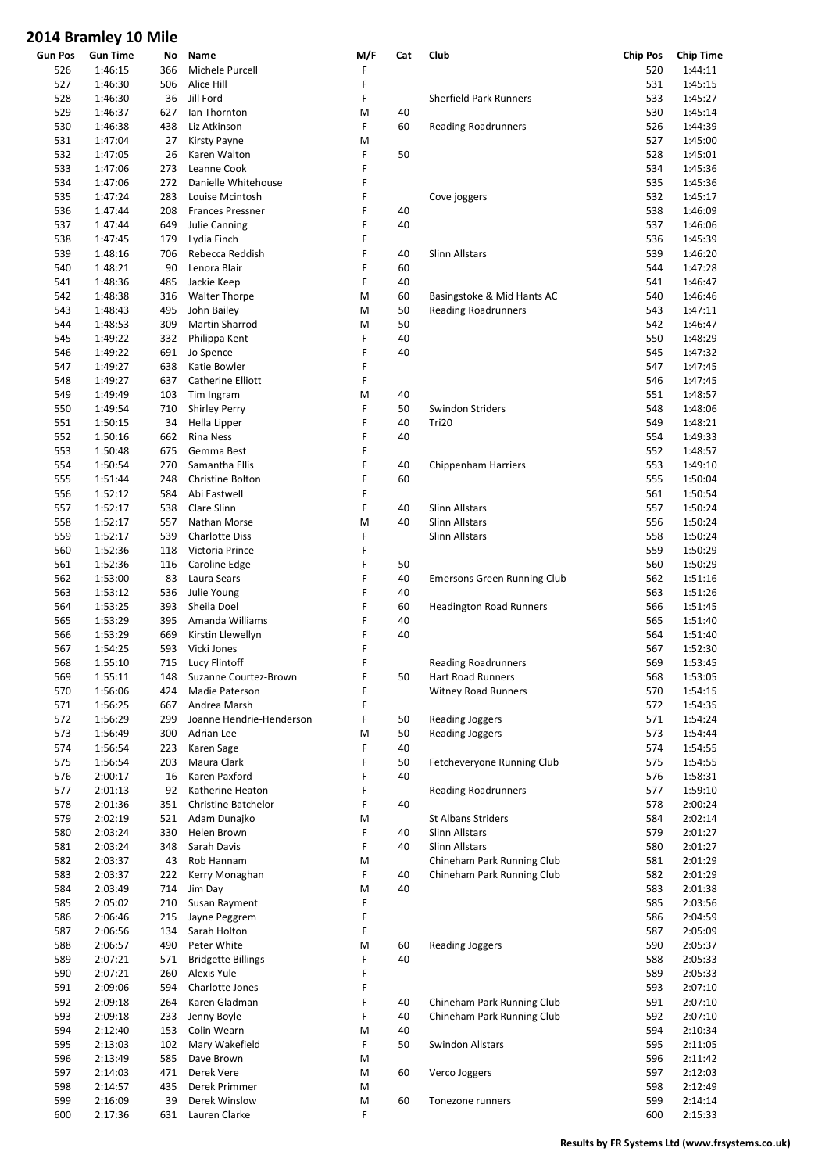| <b>Gun Pos</b> | <b>Gun Time</b> | No  | Name                      | M/F | Cat | Club                               | <b>Chip Pos</b> | <b>Chip Time</b> |
|----------------|-----------------|-----|---------------------------|-----|-----|------------------------------------|-----------------|------------------|
| 526            | 1:46:15         | 366 | Michele Purcell           | F   |     |                                    | 520             | 1:44:11          |
| 527            | 1:46:30         | 506 | Alice Hill                | F   |     |                                    | 531             | 1:45:15          |
| 528            | 1:46:30         | 36  | Jill Ford                 | F   |     | <b>Sherfield Park Runners</b>      | 533             | 1:45:27          |
| 529            | 1:46:37         | 627 | lan Thornton              | M   | 40  |                                    | 530             | 1:45:14          |
| 530            | 1:46:38         | 438 | Liz Atkinson              | F   | 60  | <b>Reading Roadrunners</b>         | 526             | 1:44:39          |
|                |                 |     |                           |     |     |                                    |                 |                  |
| 531            | 1:47:04         | 27  | <b>Kirsty Payne</b>       | M   |     |                                    | 527             | 1:45:00          |
| 532            | 1:47:05         | 26  | Karen Walton              | F   | 50  |                                    | 528             | 1:45:01          |
| 533            | 1:47:06         | 273 | Leanne Cook               | F   |     |                                    | 534             | 1:45:36          |
| 534            | 1:47:06         | 272 | Danielle Whitehouse       | F   |     |                                    | 535             | 1:45:36          |
| 535            | 1:47:24         | 283 | Louise Mcintosh           | F   |     | Cove joggers                       | 532             | 1:45:17          |
| 536            | 1:47:44         | 208 | <b>Frances Pressner</b>   | F   | 40  |                                    | 538             | 1:46:09          |
| 537            | 1:47:44         | 649 |                           | F   | 40  |                                    | 537             | 1:46:06          |
|                |                 |     | Julie Canning             |     |     |                                    |                 |                  |
| 538            | 1:47:45         | 179 | Lydia Finch               | F   |     |                                    | 536             | 1:45:39          |
| 539            | 1:48:16         | 706 | Rebecca Reddish           | F   | 40  | Slinn Allstars                     | 539             | 1:46:20          |
| 540            | 1:48:21         | 90  | Lenora Blair              | F   | 60  |                                    | 544             | 1:47:28          |
| 541            | 1:48:36         | 485 | Jackie Keep               | F   | 40  |                                    | 541             | 1:46:47          |
| 542            | 1:48:38         | 316 | <b>Walter Thorpe</b>      | M   | 60  | Basingstoke & Mid Hants AC         | 540             | 1:46:46          |
| 543            | 1:48:43         | 495 | John Bailey               | M   | 50  | <b>Reading Roadrunners</b>         | 543             | 1:47:11          |
|                |                 |     |                           |     |     |                                    |                 |                  |
| 544            | 1:48:53         | 309 | Martin Sharrod            | M   | 50  |                                    | 542             | 1:46:47          |
| 545            | 1:49:22         | 332 | Philippa Kent             | F   | 40  |                                    | 550             | 1:48:29          |
| 546            | 1:49:22         | 691 | Jo Spence                 | F   | 40  |                                    | 545             | 1:47:32          |
| 547            | 1:49:27         | 638 | Katie Bowler              | F   |     |                                    | 547             | 1:47:45          |
| 548            | 1:49:27         | 637 | Catherine Elliott         | F   |     |                                    | 546             | 1:47:45          |
| 549            | 1:49:49         | 103 | Tim Ingram                | M   | 40  |                                    | 551             | 1:48:57          |
|                |                 |     |                           |     |     |                                    |                 |                  |
| 550            | 1:49:54         | 710 | <b>Shirley Perry</b>      | F   | 50  | Swindon Striders                   | 548             | 1:48:06          |
| 551            | 1:50:15         | 34  | Hella Lipper              | F   | 40  | Tri20                              | 549             | 1:48:21          |
| 552            | 1:50:16         | 662 | <b>Rina Ness</b>          | F   | 40  |                                    | 554             | 1:49:33          |
| 553            | 1:50:48         | 675 | Gemma Best                | F   |     |                                    | 552             | 1:48:57          |
| 554            | 1:50:54         | 270 | Samantha Ellis            | F   | 40  | <b>Chippenham Harriers</b>         | 553             | 1:49:10          |
| 555            | 1:51:44         | 248 | Christine Bolton          | F   | 60  |                                    | 555             | 1:50:04          |
|                |                 |     |                           |     |     |                                    |                 |                  |
| 556            | 1:52:12         | 584 | Abi Eastwell              | F   |     |                                    | 561             | 1:50:54          |
| 557            | 1:52:17         | 538 | Clare Slinn               | F   | 40  | <b>Slinn Allstars</b>              | 557             | 1:50:24          |
| 558            | 1:52:17         | 557 | Nathan Morse              | M   | 40  | Slinn Allstars                     | 556             | 1:50:24          |
| 559            | 1:52:17         | 539 | <b>Charlotte Diss</b>     | F   |     | Slinn Allstars                     | 558             | 1:50:24          |
| 560            | 1:52:36         | 118 | Victoria Prince           | F   |     |                                    | 559             | 1:50:29          |
| 561            | 1:52:36         | 116 | Caroline Edge             | F   | 50  |                                    | 560             | 1:50:29          |
|                |                 |     |                           |     |     |                                    |                 |                  |
| 562            | 1:53:00         | 83  | Laura Sears               | F   | 40  | <b>Emersons Green Running Club</b> | 562             | 1:51:16          |
| 563            | 1:53:12         | 536 | Julie Young               | F   | 40  |                                    | 563             | 1:51:26          |
| 564            | 1:53:25         | 393 | Sheila Doel               | F   | 60  | <b>Headington Road Runners</b>     | 566             | 1:51:45          |
| 565            | 1:53:29         | 395 | Amanda Williams           | F   | 40  |                                    | 565             | 1:51:40          |
| 566            | 1:53:29         | 669 | Kirstin Llewellyn         | F   | 40  |                                    | 564             | 1:51:40          |
| 567            | 1:54:25         | 593 | Vicki Jones               | F   |     |                                    | 567             | 1:52:30          |
|                |                 |     |                           | F   |     |                                    | 569             |                  |
| 568            | 1:55:10         | 715 | Lucy Flintoff             |     |     | <b>Reading Roadrunners</b>         |                 | 1:53:45          |
| 569            | 1:55:11         |     | 148 Suzanne Courtez-Brown | F   | 50  | Hart Road Runners                  | 568             | 1:53:05          |
| 570            | 1:56:06         | 424 | Madie Paterson            | F   |     | <b>Witney Road Runners</b>         | 570             | 1:54:15          |
| 571            | 1:56:25         | 667 | Andrea Marsh              | F   |     |                                    | 572             | 1:54:35          |
| 572            | 1:56:29         | 299 | Joanne Hendrie-Henderson  | F   | 50  | <b>Reading Joggers</b>             | 571             | 1:54:24          |
| 573            | 1:56:49         | 300 | Adrian Lee                | M   | 50  | Reading Joggers                    | 573             | 1:54:44          |
| 574            | 1:56:54         | 223 | Karen Sage                | F   | 40  |                                    | 574             | 1:54:55          |
|                |                 |     |                           |     |     |                                    |                 |                  |
| 575            | 1:56:54         | 203 | Maura Clark               | F   | 50  | Fetcheveryone Running Club         | 575             | 1:54:55          |
| 576            | 2:00:17         | 16  | Karen Paxford             | F   | 40  |                                    | 576             | 1:58:31          |
| 577            | 2:01:13         | 92  | Katherine Heaton          | F   |     | <b>Reading Roadrunners</b>         | 577             | 1:59:10          |
| 578            | 2:01:36         | 351 | Christine Batchelor       | F   | 40  |                                    | 578             | 2:00:24          |
| 579            | 2:02:19         | 521 | Adam Dunajko              | M   |     | St Albans Striders                 | 584             | 2:02:14          |
| 580            | 2:03:24         | 330 | Helen Brown               | F   | 40  | Slinn Allstars                     | 579             | 2:01:27          |
| 581            | 2:03:24         | 348 | Sarah Davis               | F   | 40  | Slinn Allstars                     | 580             | 2:01:27          |
|                |                 |     |                           |     |     |                                    |                 |                  |
| 582            | 2:03:37         | 43  | Rob Hannam                | M   |     | Chineham Park Running Club         | 581             | 2:01:29          |
| 583            | 2:03:37         | 222 | Kerry Monaghan            | F   | 40  | Chineham Park Running Club         | 582             | 2:01:29          |
| 584            | 2:03:49         | 714 | Jim Day                   | M   | 40  |                                    | 583             | 2:01:38          |
| 585            | 2:05:02         | 210 | Susan Rayment             | F   |     |                                    | 585             | 2:03:56          |
| 586            | 2:06:46         | 215 | Jayne Peggrem             | F   |     |                                    | 586             | 2:04:59          |
| 587            | 2:06:56         | 134 | Sarah Holton              | F   |     |                                    | 587             | 2:05:09          |
| 588            | 2:06:57         | 490 | Peter White               | M   | 60  | <b>Reading Joggers</b>             | 590             | 2:05:37          |
|                |                 |     |                           |     |     |                                    |                 |                  |
| 589            | 2:07:21         | 571 | <b>Bridgette Billings</b> | F   | 40  |                                    | 588             | 2:05:33          |
| 590            | 2:07:21         | 260 | Alexis Yule               | F   |     |                                    | 589             | 2:05:33          |
| 591            | 2:09:06         | 594 | Charlotte Jones           | F   |     |                                    | 593             | 2:07:10          |
| 592            | 2:09:18         | 264 | Karen Gladman             | F   | 40  | Chineham Park Running Club         | 591             | 2:07:10          |
| 593            | 2:09:18         | 233 | Jenny Boyle               | F   | 40  | Chineham Park Running Club         | 592             | 2:07:10          |
| 594            | 2:12:40         | 153 | Colin Wearn               | M   | 40  |                                    | 594             | 2:10:34          |
| 595            |                 | 102 | Mary Wakefield            | F   | 50  | <b>Swindon Allstars</b>            | 595             | 2:11:05          |
|                | 2:13:03         |     |                           |     |     |                                    |                 |                  |
| 596            | 2:13:49         | 585 | Dave Brown                | M   |     |                                    | 596             | 2:11:42          |
| 597            | 2:14:03         | 471 | Derek Vere                | M   | 60  | Verco Joggers                      | 597             | 2:12:03          |
| 598            | 2:14:57         | 435 | Derek Primmer             | M   |     |                                    | 598             | 2:12:49          |
| 599            | 2:16:09         | 39  | Derek Winslow             | M   | 60  | Tonezone runners                   | 599             | 2:14:14          |
| 600            | 2:17:36         | 631 | Lauren Clarke             | F   |     |                                    | 600             | 2:15:33          |
|                |                 |     |                           |     |     |                                    |                 |                  |